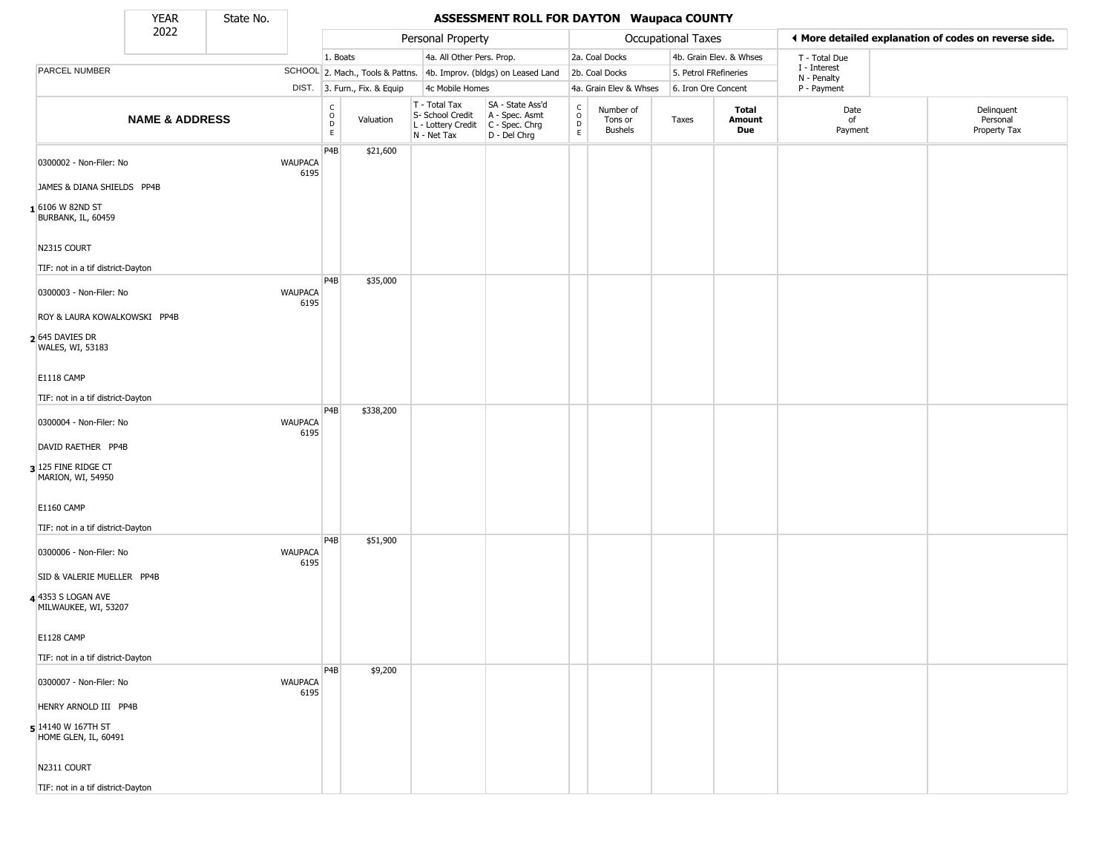State No.

 $\Box$ 

#### YEAR **ASSESSMENT ROLL FOR DAYTON Waupaca COUNTY**

|                                            | 2022                      |                        |                  |                              | Personal Property                                                      |                                                                      |                                            |                                        | <b>Occupational Taxes</b> |                         | ♦ More detailed explanation of codes on reverse side. |                                        |
|--------------------------------------------|---------------------------|------------------------|------------------|------------------------------|------------------------------------------------------------------------|----------------------------------------------------------------------|--------------------------------------------|----------------------------------------|---------------------------|-------------------------|-------------------------------------------------------|----------------------------------------|
|                                            |                           |                        | 1. Boats         |                              | 4a. All Other Pers. Prop.                                              |                                                                      |                                            | 2a. Coal Docks                         |                           | 4b. Grain Elev. & Whses | T - Total Due                                         |                                        |
| PARCEL NUMBER                              |                           |                        |                  |                              |                                                                        | SCHOOL 2. Mach., Tools & Pattns. 4b. Improv. (bldgs) on Leased Land  |                                            | 2b. Coal Docks                         | 5. Petrol FRefineries     |                         | I - Interest                                          |                                        |
|                                            |                           |                        |                  | DIST. 3. Furn., Fix. & Equip | 4c Mobile Homes                                                        |                                                                      |                                            | 4a. Grain Elev & Whses                 | 6. Iron Ore Concent       |                         | N - Penalty<br>P - Payment                            |                                        |
|                                            | <b>NAME &amp; ADDRESS</b> |                        | C<br>D<br>D<br>E | Valuation                    | T - Total Tax<br>S- School Credit<br>L - Lottery Credit<br>N - Net Tax | SA - State Ass'd<br>A - Spec. Asmt<br>C - Spec. Chrg<br>D - Del Chrg | $\begin{array}{c} C \\ O \\ E \end{array}$ | Number of<br>Tons or<br><b>Bushels</b> | Taxes                     | Total<br>Amount<br>Due  | Date<br>of<br>Payment                                 | Delinquent<br>Personal<br>Property Tax |
| 0300002 - Non-Filer: No                    |                           | <b>WAUPACA</b><br>6195 | P <sub>4</sub> B | \$21,600                     |                                                                        |                                                                      |                                            |                                        |                           |                         |                                                       |                                        |
| JAMES & DIANA SHIELDS PP4B                 |                           |                        |                  |                              |                                                                        |                                                                      |                                            |                                        |                           |                         |                                                       |                                        |
| 1 6106 W 82ND ST<br>BURBANK, IL, 60459     |                           |                        |                  |                              |                                                                        |                                                                      |                                            |                                        |                           |                         |                                                       |                                        |
| N2315 COURT                                |                           |                        |                  |                              |                                                                        |                                                                      |                                            |                                        |                           |                         |                                                       |                                        |
| TIF: not in a tif district-Dayton          |                           |                        | P4B              | \$35,000                     |                                                                        |                                                                      |                                            |                                        |                           |                         |                                                       |                                        |
| 0300003 - Non-Filer: No                    |                           | <b>WAUPACA</b><br>6195 |                  |                              |                                                                        |                                                                      |                                            |                                        |                           |                         |                                                       |                                        |
| ROY & LAURA KOWALKOWSKI PP4B               |                           |                        |                  |                              |                                                                        |                                                                      |                                            |                                        |                           |                         |                                                       |                                        |
| 2 645 DAVIES DR<br>WALES, WI, 53183        |                           |                        |                  |                              |                                                                        |                                                                      |                                            |                                        |                           |                         |                                                       |                                        |
| E1118 CAMP                                 |                           |                        |                  |                              |                                                                        |                                                                      |                                            |                                        |                           |                         |                                                       |                                        |
| TIF: not in a tif district-Dayton          |                           |                        |                  |                              |                                                                        |                                                                      |                                            |                                        |                           |                         |                                                       |                                        |
| 0300004 - Non-Filer: No                    |                           | <b>WAUPACA</b><br>6195 | P <sub>4</sub> B | \$338,200                    |                                                                        |                                                                      |                                            |                                        |                           |                         |                                                       |                                        |
| DAVID RAETHER PP4B                         |                           |                        |                  |                              |                                                                        |                                                                      |                                            |                                        |                           |                         |                                                       |                                        |
| 3 125 FINE RIDGE CT<br>MARION, WI, 54950   |                           |                        |                  |                              |                                                                        |                                                                      |                                            |                                        |                           |                         |                                                       |                                        |
| <b>E1160 CAMP</b>                          |                           |                        |                  |                              |                                                                        |                                                                      |                                            |                                        |                           |                         |                                                       |                                        |
| TIF: not in a tif district-Dayton          |                           |                        |                  |                              |                                                                        |                                                                      |                                            |                                        |                           |                         |                                                       |                                        |
| 0300006 - Non-Filer: No                    |                           | <b>WAUPACA</b><br>6195 | P <sub>4</sub> B | \$51,900                     |                                                                        |                                                                      |                                            |                                        |                           |                         |                                                       |                                        |
| SID & VALERIE MUELLER PP4B                 |                           |                        |                  |                              |                                                                        |                                                                      |                                            |                                        |                           |                         |                                                       |                                        |
| 4 4353 S LOGAN AVE<br>MILWAUKEE, WI, 53207 |                           |                        |                  |                              |                                                                        |                                                                      |                                            |                                        |                           |                         |                                                       |                                        |
| E1128 CAMP                                 |                           |                        |                  |                              |                                                                        |                                                                      |                                            |                                        |                           |                         |                                                       |                                        |
| TIF: not in a tif district-Dayton          |                           |                        | P4B              | \$9,200                      |                                                                        |                                                                      |                                            |                                        |                           |                         |                                                       |                                        |
| 0300007 - Non-Filer: No                    |                           | <b>WAUPACA</b><br>6195 |                  |                              |                                                                        |                                                                      |                                            |                                        |                           |                         |                                                       |                                        |
| HENRY ARNOLD III PP4B                      |                           |                        |                  |                              |                                                                        |                                                                      |                                            |                                        |                           |                         |                                                       |                                        |
| 5 14140 W 167TH ST<br>HOME GLEN, IL, 60491 |                           |                        |                  |                              |                                                                        |                                                                      |                                            |                                        |                           |                         |                                                       |                                        |
| N2311 COURT                                |                           |                        |                  |                              |                                                                        |                                                                      |                                            |                                        |                           |                         |                                                       |                                        |
| TIF: not in a tif district-Dayton          |                           |                        |                  |                              |                                                                        |                                                                      |                                            |                                        |                           |                         |                                                       |                                        |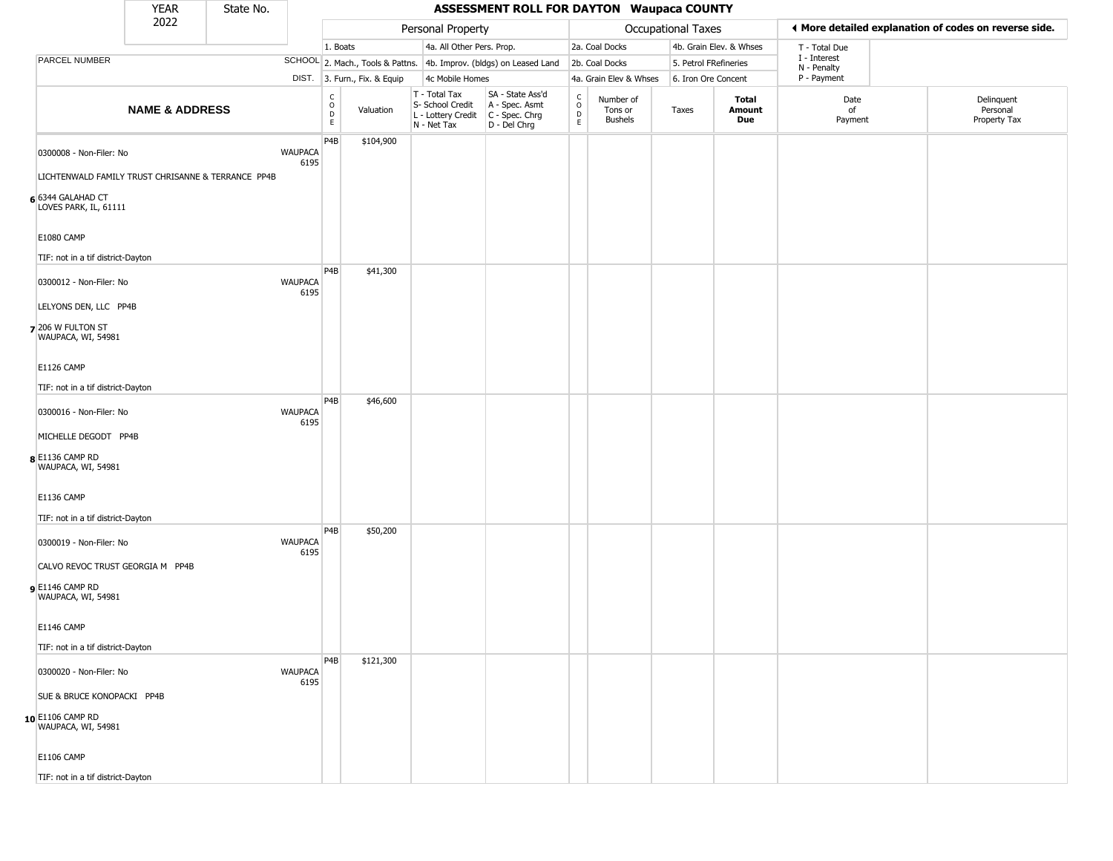|                                                    | <b>YEAR</b>               | State No. |                        |                                                 |                              |                                                                                         | <b>ASSESSMENT ROLL FOR DAYTON Waupaca COUNTY</b>                    |                                                 |                                        |                     |                         |                             |                                                       |
|----------------------------------------------------|---------------------------|-----------|------------------------|-------------------------------------------------|------------------------------|-----------------------------------------------------------------------------------------|---------------------------------------------------------------------|-------------------------------------------------|----------------------------------------|---------------------|-------------------------|-----------------------------|-------------------------------------------------------|
|                                                    | 2022                      |           |                        |                                                 |                              | Personal Property                                                                       |                                                                     |                                                 |                                        | Occupational Taxes  |                         |                             | ♦ More detailed explanation of codes on reverse side. |
|                                                    |                           |           |                        | 1. Boats                                        |                              | 4a. All Other Pers. Prop.                                                               |                                                                     |                                                 | 2a. Coal Docks                         |                     | 4b. Grain Elev. & Whses | T - Total Due               |                                                       |
| PARCEL NUMBER                                      |                           |           |                        |                                                 |                              |                                                                                         | SCHOOL 2. Mach., Tools & Pattns. 4b. Improv. (bldgs) on Leased Land |                                                 | 2b. Coal Docks                         |                     | 5. Petrol FRefineries   | I - Interest<br>N - Penalty |                                                       |
|                                                    |                           |           |                        |                                                 | DIST. 3. Furn., Fix. & Equip | 4c Mobile Homes                                                                         |                                                                     |                                                 | 4a. Grain Elev & Whses                 | 6. Iron Ore Concent |                         | P - Payment                 |                                                       |
|                                                    | <b>NAME &amp; ADDRESS</b> |           |                        | $\begin{array}{c} C \\ O \\ D \\ E \end{array}$ | Valuation                    | T - Total Tax<br>S- School Credit<br>L - Lottery Credit   C - Spec. Chrg<br>N - Net Tax | SA - State Ass'd<br>A - Spec. Asmt<br>D - Del Chrg                  | $\begin{array}{c} C \\ O \\ D \\ E \end{array}$ | Number of<br>Tons or<br><b>Bushels</b> | Taxes               | Total<br>Amount<br>Due  | Date<br>of<br>Payment       | Delinquent<br>Personal<br>Property Tax                |
| 0300008 - Non-Filer: No                            |                           |           | <b>WAUPACA</b><br>6195 | P4B                                             | \$104,900                    |                                                                                         |                                                                     |                                                 |                                        |                     |                         |                             |                                                       |
| LICHTENWALD FAMILY TRUST CHRISANNE & TERRANCE PP4B |                           |           |                        |                                                 |                              |                                                                                         |                                                                     |                                                 |                                        |                     |                         |                             |                                                       |
| 6 6344 GALAHAD CT<br>LOVES PARK, IL, 61111         |                           |           |                        |                                                 |                              |                                                                                         |                                                                     |                                                 |                                        |                     |                         |                             |                                                       |
| <b>E1080 CAMP</b>                                  |                           |           |                        |                                                 |                              |                                                                                         |                                                                     |                                                 |                                        |                     |                         |                             |                                                       |
| TIF: not in a tif district-Dayton                  |                           |           |                        |                                                 |                              |                                                                                         |                                                                     |                                                 |                                        |                     |                         |                             |                                                       |
| 0300012 - Non-Filer: No                            |                           |           | <b>WAUPACA</b><br>6195 | P <sub>4</sub> B                                | \$41,300                     |                                                                                         |                                                                     |                                                 |                                        |                     |                         |                             |                                                       |
| LELYONS DEN, LLC PP4B                              |                           |           |                        |                                                 |                              |                                                                                         |                                                                     |                                                 |                                        |                     |                         |                             |                                                       |
| 7 206 W FULTON ST<br>WAUPACA, WI, 54981            |                           |           |                        |                                                 |                              |                                                                                         |                                                                     |                                                 |                                        |                     |                         |                             |                                                       |
| <b>E1126 CAMP</b>                                  |                           |           |                        |                                                 |                              |                                                                                         |                                                                     |                                                 |                                        |                     |                         |                             |                                                       |
|                                                    |                           |           |                        |                                                 |                              |                                                                                         |                                                                     |                                                 |                                        |                     |                         |                             |                                                       |
| TIF: not in a tif district-Dayton                  |                           |           |                        | P <sub>4</sub> B                                | \$46,600                     |                                                                                         |                                                                     |                                                 |                                        |                     |                         |                             |                                                       |
| 0300016 - Non-Filer: No                            |                           |           | <b>WAUPACA</b><br>6195 |                                                 |                              |                                                                                         |                                                                     |                                                 |                                        |                     |                         |                             |                                                       |
| MICHELLE DEGODT PP4B                               |                           |           |                        |                                                 |                              |                                                                                         |                                                                     |                                                 |                                        |                     |                         |                             |                                                       |
| 8 E1136 CAMP RD<br>WAUPACA, WI, 54981              |                           |           |                        |                                                 |                              |                                                                                         |                                                                     |                                                 |                                        |                     |                         |                             |                                                       |
| <b>E1136 CAMP</b>                                  |                           |           |                        |                                                 |                              |                                                                                         |                                                                     |                                                 |                                        |                     |                         |                             |                                                       |
| TIF: not in a tif district-Dayton                  |                           |           |                        |                                                 |                              |                                                                                         |                                                                     |                                                 |                                        |                     |                         |                             |                                                       |
| 0300019 - Non-Filer: No                            |                           |           | <b>WAUPACA</b><br>6195 | P <sub>4</sub> B                                | \$50,200                     |                                                                                         |                                                                     |                                                 |                                        |                     |                         |                             |                                                       |
| CALVO REVOC TRUST GEORGIA M PP4B                   |                           |           |                        |                                                 |                              |                                                                                         |                                                                     |                                                 |                                        |                     |                         |                             |                                                       |
| e E1146 CAMP RD<br>WAUPACA, WI, 54981              |                           |           |                        |                                                 |                              |                                                                                         |                                                                     |                                                 |                                        |                     |                         |                             |                                                       |
| E1146 CAMP                                         |                           |           |                        |                                                 |                              |                                                                                         |                                                                     |                                                 |                                        |                     |                         |                             |                                                       |
| TIF: not in a tif district-Dayton                  |                           |           |                        |                                                 |                              |                                                                                         |                                                                     |                                                 |                                        |                     |                         |                             |                                                       |
| 0300020 - Non-Filer: No                            |                           |           | WAUPACA<br>6195        | P <sub>4</sub> B                                | \$121,300                    |                                                                                         |                                                                     |                                                 |                                        |                     |                         |                             |                                                       |
| SUE & BRUCE KONOPACKI PP4B                         |                           |           |                        |                                                 |                              |                                                                                         |                                                                     |                                                 |                                        |                     |                         |                             |                                                       |
| 10 E1106 CAMP RD<br>WAUPACA, WI, 54981             |                           |           |                        |                                                 |                              |                                                                                         |                                                                     |                                                 |                                        |                     |                         |                             |                                                       |
| <b>E1106 CAMP</b>                                  |                           |           |                        |                                                 |                              |                                                                                         |                                                                     |                                                 |                                        |                     |                         |                             |                                                       |
| TIF: not in a tif district-Dayton                  |                           |           |                        |                                                 |                              |                                                                                         |                                                                     |                                                 |                                        |                     |                         |                             |                                                       |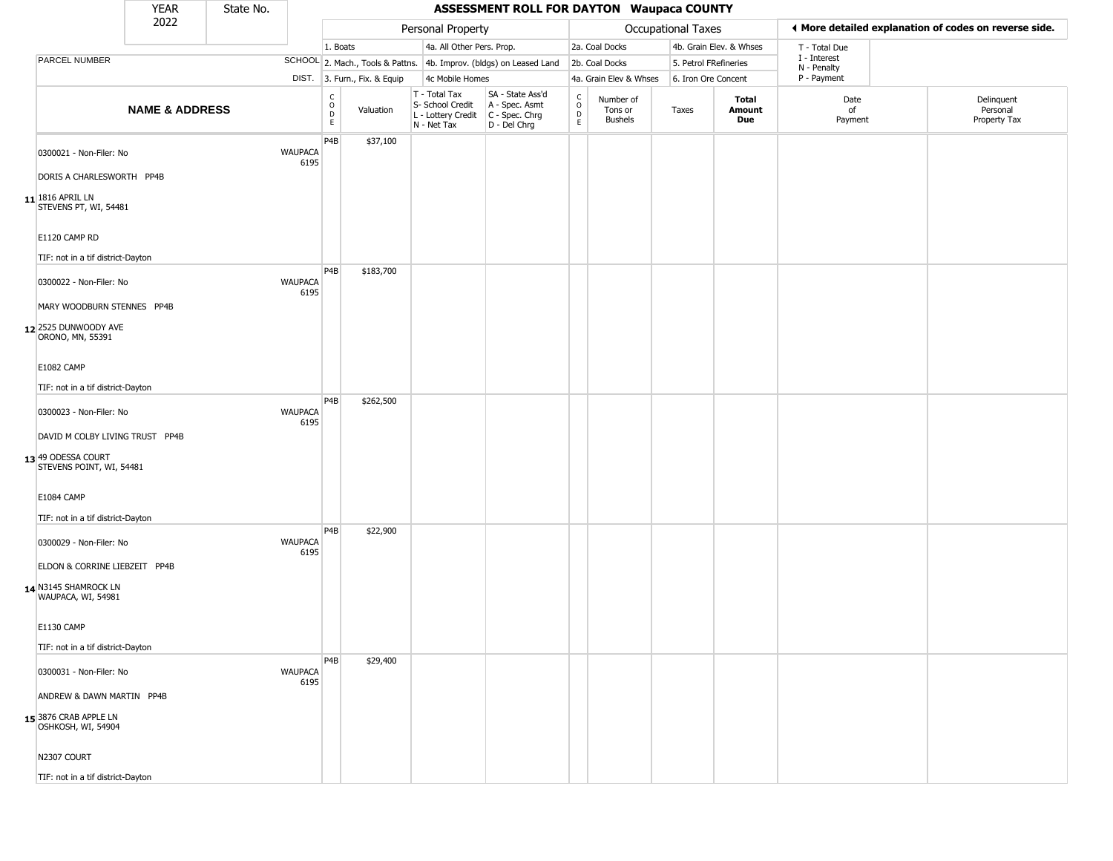|                                                        | <b>YEAR</b>               | State No. |                        |                                                 |                              |                                                                                         | <b>ASSESSMENT ROLL FOR DAYTON Waupaca COUNTY</b>                    |                  |                                 |                       |                         |                             |                                                       |
|--------------------------------------------------------|---------------------------|-----------|------------------------|-------------------------------------------------|------------------------------|-----------------------------------------------------------------------------------------|---------------------------------------------------------------------|------------------|---------------------------------|-----------------------|-------------------------|-----------------------------|-------------------------------------------------------|
|                                                        | 2022                      |           |                        |                                                 |                              | Personal Property                                                                       |                                                                     |                  |                                 | Occupational Taxes    |                         |                             | ◀ More detailed explanation of codes on reverse side. |
|                                                        |                           |           |                        | 1. Boats                                        |                              | 4a. All Other Pers. Prop.                                                               |                                                                     |                  | 2a. Coal Docks                  |                       | 4b. Grain Elev. & Whses | T - Total Due               |                                                       |
| <b>PARCEL NUMBER</b>                                   |                           |           |                        |                                                 |                              |                                                                                         | SCHOOL 2. Mach., Tools & Pattns. 4b. Improv. (bldgs) on Leased Land |                  | 2b. Coal Docks                  | 5. Petrol FRefineries |                         | I - Interest<br>N - Penalty |                                                       |
|                                                        |                           |           |                        |                                                 | DIST. 3. Furn., Fix. & Equip | 4c Mobile Homes                                                                         |                                                                     |                  | 4a. Grain Elev & Whses          | 6. Iron Ore Concent   |                         | P - Payment                 |                                                       |
|                                                        | <b>NAME &amp; ADDRESS</b> |           |                        | $\begin{array}{c} C \\ O \\ D \\ E \end{array}$ | Valuation                    | T - Total Tax<br>S- School Credit<br>L - Lottery Credit   C - Spec. Chrg<br>N - Net Tax | SA - State Ass'd<br>A - Spec. Asmt<br>D - Del Chrg                  | C<br>D<br>D<br>E | Number of<br>Tons or<br>Bushels | Taxes                 | Total<br>Amount<br>Due  | Date<br>of<br>Payment       | Delinquent<br>Personal<br>Property Tax                |
| 0300021 - Non-Filer: No                                |                           |           | <b>WAUPACA</b><br>6195 | P4B                                             | \$37,100                     |                                                                                         |                                                                     |                  |                                 |                       |                         |                             |                                                       |
| DORIS A CHARLESWORTH PP4B                              |                           |           |                        |                                                 |                              |                                                                                         |                                                                     |                  |                                 |                       |                         |                             |                                                       |
| $11$ <sup>1816</sup> APRIL LN<br>STEVENS PT, WI, 54481 |                           |           |                        |                                                 |                              |                                                                                         |                                                                     |                  |                                 |                       |                         |                             |                                                       |
| E1120 CAMP RD<br>TIF: not in a tif district-Dayton     |                           |           |                        |                                                 |                              |                                                                                         |                                                                     |                  |                                 |                       |                         |                             |                                                       |
| 0300022 - Non-Filer: No                                |                           |           | <b>WAUPACA</b><br>6195 | P4B                                             | \$183,700                    |                                                                                         |                                                                     |                  |                                 |                       |                         |                             |                                                       |
| MARY WOODBURN STENNES PP4B                             |                           |           |                        |                                                 |                              |                                                                                         |                                                                     |                  |                                 |                       |                         |                             |                                                       |
| 12 2525 DUNWOODY AVE<br>ORONO, MN, 55391               |                           |           |                        |                                                 |                              |                                                                                         |                                                                     |                  |                                 |                       |                         |                             |                                                       |
| <b>E1082 CAMP</b>                                      |                           |           |                        |                                                 |                              |                                                                                         |                                                                     |                  |                                 |                       |                         |                             |                                                       |
| TIF: not in a tif district-Dayton                      |                           |           |                        |                                                 |                              |                                                                                         |                                                                     |                  |                                 |                       |                         |                             |                                                       |
|                                                        |                           |           | <b>WAUPACA</b>         | P4B                                             | \$262,500                    |                                                                                         |                                                                     |                  |                                 |                       |                         |                             |                                                       |
| 0300023 - Non-Filer: No                                |                           |           | 6195                   |                                                 |                              |                                                                                         |                                                                     |                  |                                 |                       |                         |                             |                                                       |
| DAVID M COLBY LIVING TRUST PP4B                        |                           |           |                        |                                                 |                              |                                                                                         |                                                                     |                  |                                 |                       |                         |                             |                                                       |
| 13 49 ODESSA COURT<br>STEVENS POINT, WI, 54481         |                           |           |                        |                                                 |                              |                                                                                         |                                                                     |                  |                                 |                       |                         |                             |                                                       |
| E1084 CAMP                                             |                           |           |                        |                                                 |                              |                                                                                         |                                                                     |                  |                                 |                       |                         |                             |                                                       |
| TIF: not in a tif district-Dayton                      |                           |           |                        |                                                 |                              |                                                                                         |                                                                     |                  |                                 |                       |                         |                             |                                                       |
| 0300029 - Non-Filer: No                                |                           |           | <b>WAUPACA</b><br>6195 | P4B                                             | \$22,900                     |                                                                                         |                                                                     |                  |                                 |                       |                         |                             |                                                       |
| ELDON & CORRINE LIEBZEIT PP4B                          |                           |           |                        |                                                 |                              |                                                                                         |                                                                     |                  |                                 |                       |                         |                             |                                                       |
| 14 N3145 SHAMROCK LN<br>WAUPACA, WI, 54981             |                           |           |                        |                                                 |                              |                                                                                         |                                                                     |                  |                                 |                       |                         |                             |                                                       |
| <b>E1130 CAMP</b>                                      |                           |           |                        |                                                 |                              |                                                                                         |                                                                     |                  |                                 |                       |                         |                             |                                                       |
| TIF: not in a tif district-Dayton                      |                           |           |                        |                                                 |                              |                                                                                         |                                                                     |                  |                                 |                       |                         |                             |                                                       |
| 0300031 - Non-Filer: No                                |                           |           | <b>WAUPACA</b><br>6195 | P4B                                             | \$29,400                     |                                                                                         |                                                                     |                  |                                 |                       |                         |                             |                                                       |
| ANDREW & DAWN MARTIN PP4B                              |                           |           |                        |                                                 |                              |                                                                                         |                                                                     |                  |                                 |                       |                         |                             |                                                       |
| 15 3876 CRAB APPLE LN<br>OSHKOSH, WI, 54904            |                           |           |                        |                                                 |                              |                                                                                         |                                                                     |                  |                                 |                       |                         |                             |                                                       |
| N2307 COURT                                            |                           |           |                        |                                                 |                              |                                                                                         |                                                                     |                  |                                 |                       |                         |                             |                                                       |
| TIF: not in a tif district-Dayton                      |                           |           |                        |                                                 |                              |                                                                                         |                                                                     |                  |                                 |                       |                         |                             |                                                       |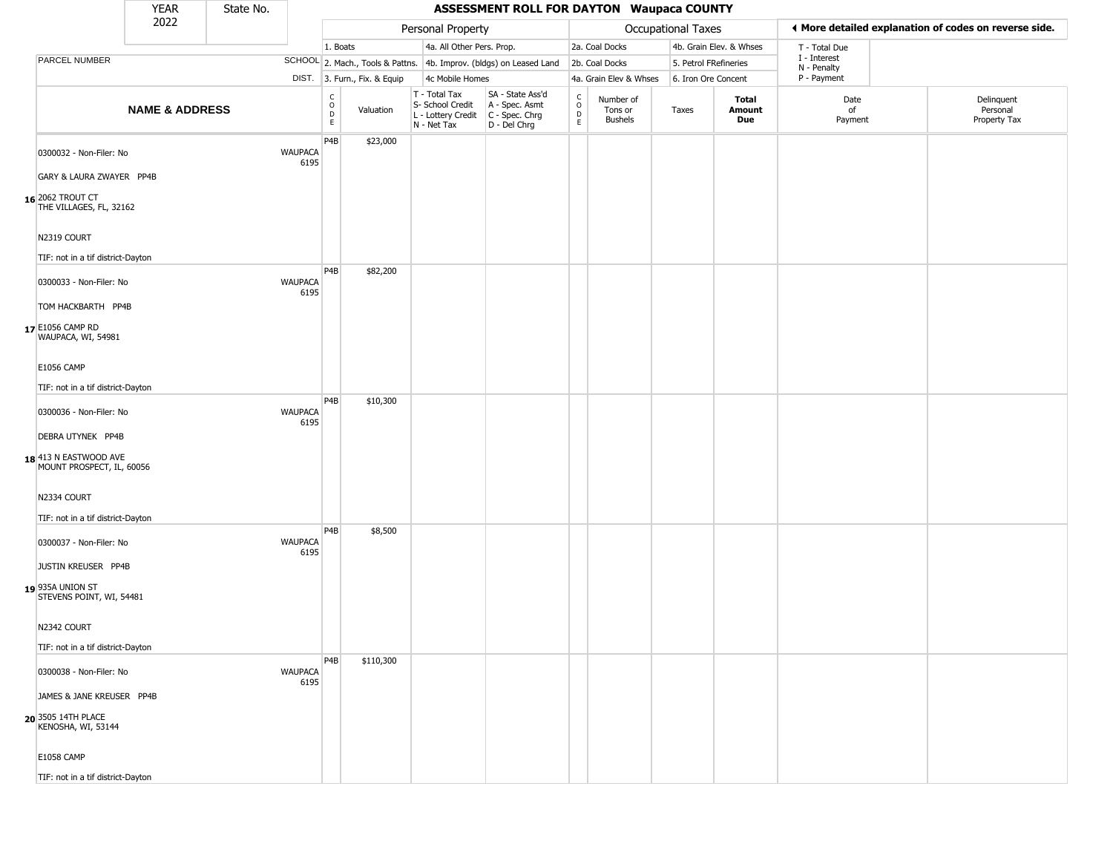|                                                                         | <b>YEAR</b>               | State No. |                        |                                                |                              |                                                                        | <b>ASSESSMENT ROLL FOR DAYTON Waupaca COUNTY</b>                     |                                                                    |                                        |                       |                         |                             |                                                       |
|-------------------------------------------------------------------------|---------------------------|-----------|------------------------|------------------------------------------------|------------------------------|------------------------------------------------------------------------|----------------------------------------------------------------------|--------------------------------------------------------------------|----------------------------------------|-----------------------|-------------------------|-----------------------------|-------------------------------------------------------|
|                                                                         | 2022                      |           |                        |                                                |                              | Personal Property                                                      |                                                                      |                                                                    |                                        | Occupational Taxes    |                         |                             | ◀ More detailed explanation of codes on reverse side. |
|                                                                         |                           |           |                        | 1. Boats                                       |                              | 4a. All Other Pers. Prop.                                              |                                                                      |                                                                    | 2a. Coal Docks                         |                       | 4b. Grain Elev. & Whses | T - Total Due               |                                                       |
| PARCEL NUMBER                                                           |                           |           |                        |                                                |                              |                                                                        | SCHOOL 2. Mach., Tools & Pattns. 4b. Improv. (bldgs) on Leased Land  |                                                                    | 2b. Coal Docks                         | 5. Petrol FRefineries |                         | I - Interest<br>N - Penalty |                                                       |
|                                                                         |                           |           |                        |                                                | DIST. 3. Furn., Fix. & Equip | 4c Mobile Homes                                                        |                                                                      |                                                                    | 4a. Grain Elev & Whses                 | 6. Iron Ore Concent   |                         | P - Payment                 |                                                       |
|                                                                         | <b>NAME &amp; ADDRESS</b> |           |                        | $\rm ^c_{\rm o}$<br>$\mathsf D$<br>$\mathsf E$ | Valuation                    | T - Total Tax<br>S- School Credit<br>L - Lottery Credit<br>N - Net Tax | SA - State Ass'd<br>A - Spec. Asmt<br>C - Spec. Chrg<br>D - Del Chrg | $\begin{smallmatrix} C \\ 0 \\ D \end{smallmatrix}$<br>$\mathsf E$ | Number of<br>Tons or<br><b>Bushels</b> | Taxes                 | Total<br>Amount<br>Due  | Date<br>of<br>Payment       | Delinquent<br>Personal<br>Property Tax                |
| 0300032 - Non-Filer: No                                                 |                           |           | <b>WAUPACA</b><br>6195 | P4B                                            | \$23,000                     |                                                                        |                                                                      |                                                                    |                                        |                       |                         |                             |                                                       |
| GARY & LAURA ZWAYER PP4B                                                |                           |           |                        |                                                |                              |                                                                        |                                                                      |                                                                    |                                        |                       |                         |                             |                                                       |
| 16 2062 TROUT CT<br>THE VILLAGES, FL, 32162                             |                           |           |                        |                                                |                              |                                                                        |                                                                      |                                                                    |                                        |                       |                         |                             |                                                       |
| N2319 COURT<br>TIF: not in a tif district-Dayton                        |                           |           |                        |                                                |                              |                                                                        |                                                                      |                                                                    |                                        |                       |                         |                             |                                                       |
| 0300033 - Non-Filer: No                                                 |                           |           | <b>WAUPACA</b><br>6195 | P <sub>4</sub> B                               | \$82,200                     |                                                                        |                                                                      |                                                                    |                                        |                       |                         |                             |                                                       |
| TOM HACKBARTH PP4B<br>17 E1056 CAMP RD<br>WAUPACA, WI, 54981            |                           |           |                        |                                                |                              |                                                                        |                                                                      |                                                                    |                                        |                       |                         |                             |                                                       |
| <b>E1056 CAMP</b><br>TIF: not in a tif district-Dayton                  |                           |           |                        |                                                |                              |                                                                        |                                                                      |                                                                    |                                        |                       |                         |                             |                                                       |
| 0300036 - Non-Filer: No                                                 |                           |           | <b>WAUPACA</b><br>6195 | P4B                                            | \$10,300                     |                                                                        |                                                                      |                                                                    |                                        |                       |                         |                             |                                                       |
| DEBRA UTYNEK PP4B<br>18 413 N EASTWOOD AVE<br>MOUNT PROSPECT, IL, 60056 |                           |           |                        |                                                |                              |                                                                        |                                                                      |                                                                    |                                        |                       |                         |                             |                                                       |
| N2334 COURT                                                             |                           |           |                        |                                                |                              |                                                                        |                                                                      |                                                                    |                                        |                       |                         |                             |                                                       |
| TIF: not in a tif district-Dayton<br>0300037 - Non-Filer: No            |                           |           | <b>WAUPACA</b><br>6195 | P4B                                            | \$8,500                      |                                                                        |                                                                      |                                                                    |                                        |                       |                         |                             |                                                       |
| JUSTIN KREUSER PP4B<br>19 935A UNION ST<br>STEVENS POINT, WI, 54481     |                           |           |                        |                                                |                              |                                                                        |                                                                      |                                                                    |                                        |                       |                         |                             |                                                       |
| N2342 COURT                                                             |                           |           |                        |                                                |                              |                                                                        |                                                                      |                                                                    |                                        |                       |                         |                             |                                                       |
| TIF: not in a tif district-Dayton                                       |                           |           |                        |                                                |                              |                                                                        |                                                                      |                                                                    |                                        |                       |                         |                             |                                                       |
| 0300038 - Non-Filer: No                                                 |                           |           | <b>WAUPACA</b><br>6195 | P4B                                            | \$110,300                    |                                                                        |                                                                      |                                                                    |                                        |                       |                         |                             |                                                       |
| JAMES & JANE KREUSER PP4B                                               |                           |           |                        |                                                |                              |                                                                        |                                                                      |                                                                    |                                        |                       |                         |                             |                                                       |
| 20 3505 14TH PLACE<br>KENOSHA, WI, 53144                                |                           |           |                        |                                                |                              |                                                                        |                                                                      |                                                                    |                                        |                       |                         |                             |                                                       |
| <b>E1058 CAMP</b>                                                       |                           |           |                        |                                                |                              |                                                                        |                                                                      |                                                                    |                                        |                       |                         |                             |                                                       |
| TIF: not in a tif district-Dayton                                       |                           |           |                        |                                                |                              |                                                                        |                                                                      |                                                                    |                                        |                       |                         |                             |                                                       |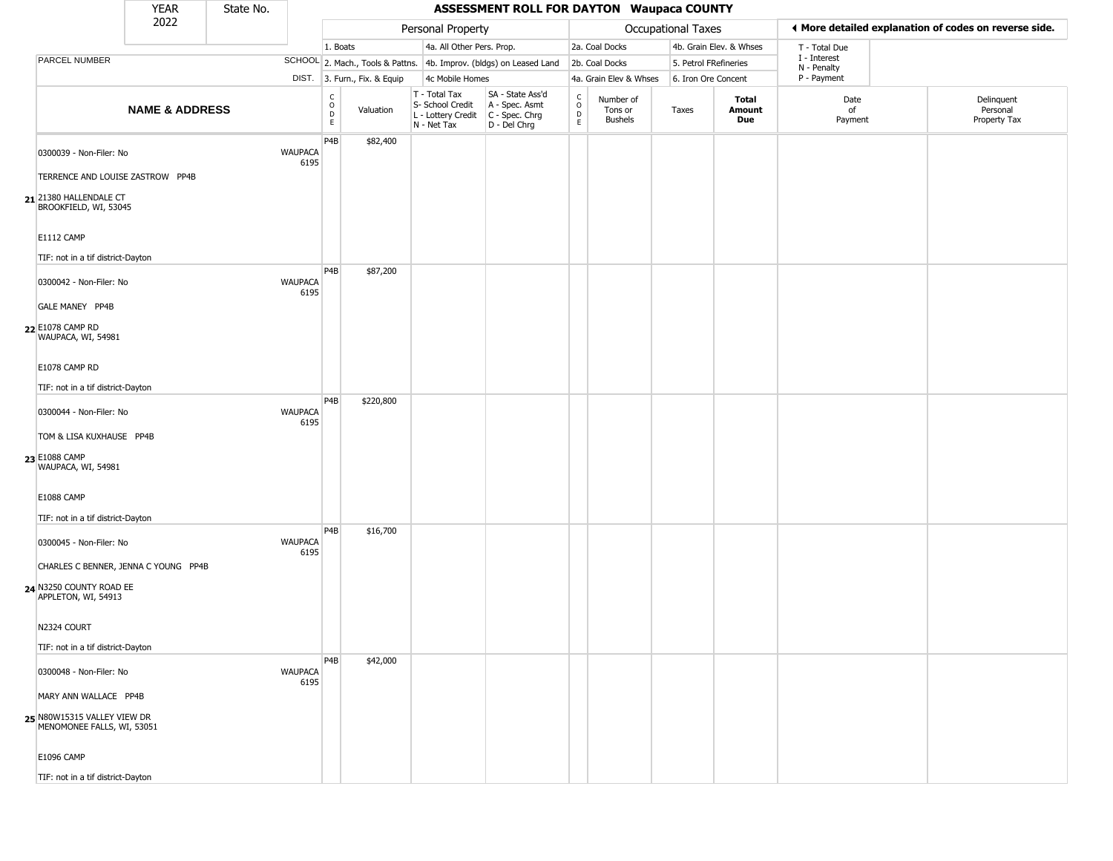|                                                                                        | <b>YEAR</b>               | State No. |                        |                                |                              |                                                                                       | <b>ASSESSMENT ROLL FOR DAYTON Waupaca COUNTY</b>                    |                                         |                                        |                       |                         |                             |                                                       |
|----------------------------------------------------------------------------------------|---------------------------|-----------|------------------------|--------------------------------|------------------------------|---------------------------------------------------------------------------------------|---------------------------------------------------------------------|-----------------------------------------|----------------------------------------|-----------------------|-------------------------|-----------------------------|-------------------------------------------------------|
|                                                                                        | 2022                      |           |                        |                                |                              | Personal Property                                                                     |                                                                     |                                         |                                        | Occupational Taxes    |                         |                             | ◀ More detailed explanation of codes on reverse side. |
|                                                                                        |                           |           |                        | 1. Boats                       |                              | 4a. All Other Pers. Prop.                                                             |                                                                     |                                         | 2a. Coal Docks                         |                       | 4b. Grain Elev. & Whses | T - Total Due               |                                                       |
| PARCEL NUMBER                                                                          |                           |           |                        |                                |                              |                                                                                       | SCHOOL 2. Mach., Tools & Pattns. 4b. Improv. (bldgs) on Leased Land |                                         | 2b. Coal Docks                         | 5. Petrol FRefineries |                         | I - Interest<br>N - Penalty |                                                       |
|                                                                                        |                           |           |                        |                                | DIST. 3. Furn., Fix. & Equip | 4c Mobile Homes                                                                       |                                                                     |                                         | 4a. Grain Elev & Whses                 | 6. Iron Ore Concent   |                         | P - Payment                 |                                                       |
|                                                                                        | <b>NAME &amp; ADDRESS</b> |           |                        | $\rm _o^C$<br>$\mathsf D$<br>E | Valuation                    | T - Total Tax<br>S- School Credit<br>L - Lottery Credit C - Spec. Chrg<br>N - Net Tax | SA - State Ass'd<br>A - Spec. Asmt<br>D - Del Chrg                  | $_{\rm o}^{\rm c}$<br>$\mathsf{D}$<br>E | Number of<br>Tons or<br><b>Bushels</b> | Taxes                 | Total<br>Amount<br>Due  | Date<br>of<br>Payment       | Delinquent<br>Personal<br>Property Tax                |
| 0300039 - Non-Filer: No<br>TERRENCE AND LOUISE ZASTROW PP4B                            |                           |           | <b>WAUPACA</b><br>6195 | P4B                            | \$82,400                     |                                                                                       |                                                                     |                                         |                                        |                       |                         |                             |                                                       |
| 21 21380 HALLENDALE CT<br>BROOKFIELD, WI, 53045                                        |                           |           |                        |                                |                              |                                                                                       |                                                                     |                                         |                                        |                       |                         |                             |                                                       |
| E1112 CAMP<br>TIF: not in a tif district-Dayton                                        |                           |           |                        |                                |                              |                                                                                       |                                                                     |                                         |                                        |                       |                         |                             |                                                       |
| 0300042 - Non-Filer: No<br>GALE MANEY PP4B                                             |                           |           | <b>WAUPACA</b><br>6195 | P4B                            | \$87,200                     |                                                                                       |                                                                     |                                         |                                        |                       |                         |                             |                                                       |
| 22 E1078 CAMP RD<br>WAUPACA, WI, 54981                                                 |                           |           |                        |                                |                              |                                                                                       |                                                                     |                                         |                                        |                       |                         |                             |                                                       |
| E1078 CAMP RD                                                                          |                           |           |                        |                                |                              |                                                                                       |                                                                     |                                         |                                        |                       |                         |                             |                                                       |
| TIF: not in a tif district-Dayton                                                      |                           |           |                        |                                |                              |                                                                                       |                                                                     |                                         |                                        |                       |                         |                             |                                                       |
| 0300044 - Non-Filer: No                                                                |                           |           | <b>WAUPACA</b><br>6195 | P4B                            | \$220,800                    |                                                                                       |                                                                     |                                         |                                        |                       |                         |                             |                                                       |
| TOM & LISA KUXHAUSE PP4B<br>23 E1088 CAMP<br>WAUPACA, WI, 54981                        |                           |           |                        |                                |                              |                                                                                       |                                                                     |                                         |                                        |                       |                         |                             |                                                       |
| E1088 CAMP<br>TIF: not in a tif district-Dayton                                        |                           |           |                        |                                |                              |                                                                                       |                                                                     |                                         |                                        |                       |                         |                             |                                                       |
| 0300045 - Non-Filer: No                                                                |                           |           | <b>WAUPACA</b><br>6195 | P4B                            | \$16,700                     |                                                                                       |                                                                     |                                         |                                        |                       |                         |                             |                                                       |
| CHARLES C BENNER, JENNA C YOUNG PP4B<br>24 N3250 COUNTY ROAD EE<br>APPLETON, WI, 54913 |                           |           |                        |                                |                              |                                                                                       |                                                                     |                                         |                                        |                       |                         |                             |                                                       |
| N2324 COURT<br>TIF: not in a tif district-Dayton                                       |                           |           |                        |                                |                              |                                                                                       |                                                                     |                                         |                                        |                       |                         |                             |                                                       |
| 0300048 - Non-Filer: No                                                                |                           |           | <b>WAUPACA</b><br>6195 | P <sub>4</sub> B               | \$42,000                     |                                                                                       |                                                                     |                                         |                                        |                       |                         |                             |                                                       |
| MARY ANN WALLACE PP4B                                                                  |                           |           |                        |                                |                              |                                                                                       |                                                                     |                                         |                                        |                       |                         |                             |                                                       |
| 25 N80W15315 VALLEY VIEW DR<br>MENOMONEE FALLS, WI, 53051                              |                           |           |                        |                                |                              |                                                                                       |                                                                     |                                         |                                        |                       |                         |                             |                                                       |
| <b>E1096 CAMP</b>                                                                      |                           |           |                        |                                |                              |                                                                                       |                                                                     |                                         |                                        |                       |                         |                             |                                                       |
| TIF: not in a tif district-Dayton                                                      |                           |           |                        |                                |                              |                                                                                       |                                                                     |                                         |                                        |                       |                         |                             |                                                       |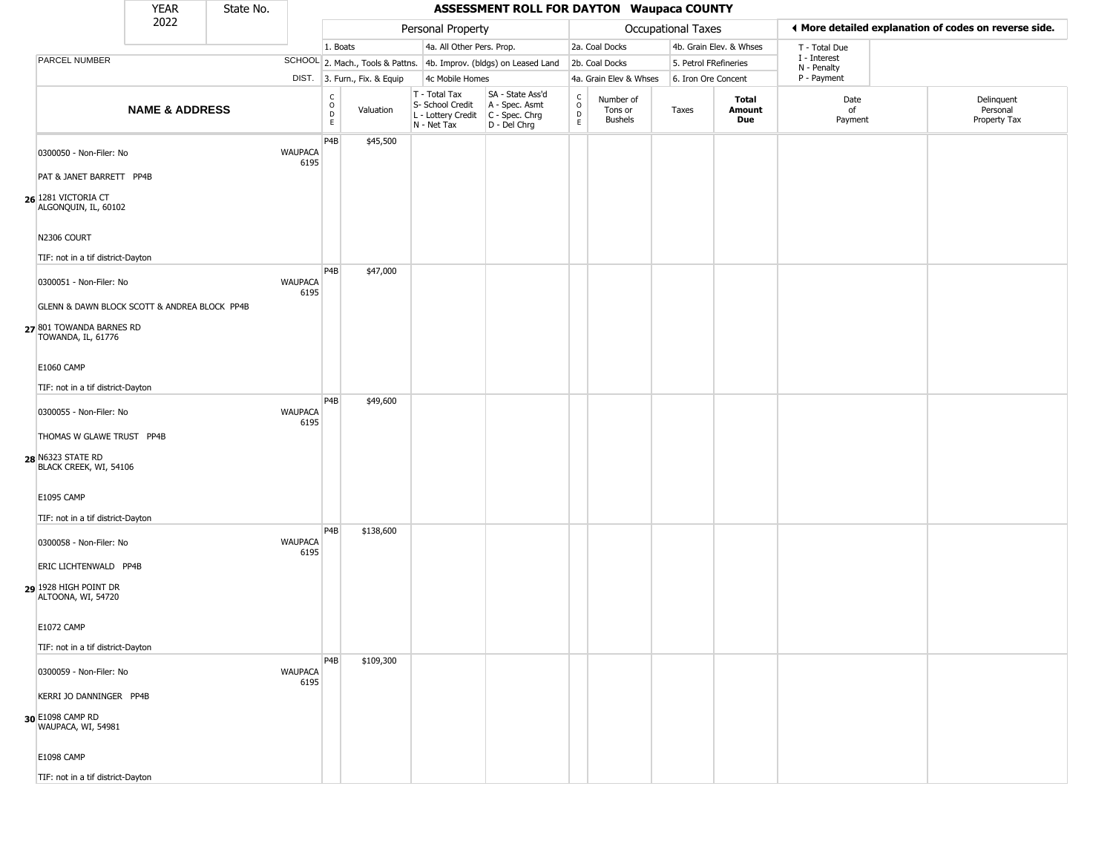|                                                                                                | <b>YEAR</b>               | State No. |                        |                                                |                              |                                                                        | <b>ASSESSMENT ROLL FOR DAYTON Waupaca COUNTY</b>                       |                            |                                        |                       |                         |                             |                                                       |
|------------------------------------------------------------------------------------------------|---------------------------|-----------|------------------------|------------------------------------------------|------------------------------|------------------------------------------------------------------------|------------------------------------------------------------------------|----------------------------|----------------------------------------|-----------------------|-------------------------|-----------------------------|-------------------------------------------------------|
|                                                                                                | 2022                      |           |                        |                                                |                              | Personal Property                                                      |                                                                        |                            |                                        | Occupational Taxes    |                         |                             | ◀ More detailed explanation of codes on reverse side. |
|                                                                                                |                           |           |                        | 1. Boats                                       |                              | 4a. All Other Pers. Prop.                                              |                                                                        |                            | 2a. Coal Docks                         |                       | 4b. Grain Elev. & Whses | T - Total Due               |                                                       |
| <b>PARCEL NUMBER</b>                                                                           |                           |           |                        |                                                |                              |                                                                        | SCHOOL 2. Mach., Tools & Pattns. 4b. Improv. (bldgs) on Leased Land    |                            | 2b. Coal Docks                         | 5. Petrol FRefineries |                         | I - Interest<br>N - Penalty |                                                       |
|                                                                                                |                           |           |                        |                                                | DIST. 3. Furn., Fix. & Equip | 4c Mobile Homes                                                        |                                                                        |                            | 4a. Grain Elev & Whses                 | 6. Iron Ore Concent   |                         | P - Payment                 |                                                       |
|                                                                                                | <b>NAME &amp; ADDRESS</b> |           |                        | $\begin{matrix} 0 \\ 0 \\ D \end{matrix}$<br>E | Valuation                    | T - Total Tax<br>S- School Credit<br>L - Lottery Credit<br>N - Net Tax | SA - State Ass'd<br>A - Spec. Asmt<br>$C - Spec. Chrg$<br>D - Del Chrg | C<br>$\mathsf O$<br>D<br>E | Number of<br>Tons or<br><b>Bushels</b> | Taxes                 | Total<br>Amount<br>Due  | Date<br>of<br>Payment       | Delinquent<br>Personal<br>Property Tax                |
| 0300050 - Non-Filer: No                                                                        |                           |           | <b>WAUPACA</b><br>6195 | P4B                                            | \$45,500                     |                                                                        |                                                                        |                            |                                        |                       |                         |                             |                                                       |
| PAT & JANET BARRETT PP4B                                                                       |                           |           |                        |                                                |                              |                                                                        |                                                                        |                            |                                        |                       |                         |                             |                                                       |
| 26 1281 VICTORIA CT<br>ALGONQUIN, IL, 60102                                                    |                           |           |                        |                                                |                              |                                                                        |                                                                        |                            |                                        |                       |                         |                             |                                                       |
| N2306 COURT<br>TIF: not in a tif district-Dayton                                               |                           |           |                        |                                                |                              |                                                                        |                                                                        |                            |                                        |                       |                         |                             |                                                       |
| 0300051 - Non-Filer: No                                                                        |                           |           | <b>WAUPACA</b><br>6195 | P4B                                            | \$47,000                     |                                                                        |                                                                        |                            |                                        |                       |                         |                             |                                                       |
| GLENN & DAWN BLOCK SCOTT & ANDREA BLOCK PP4B<br>27 801 TOWANDA BARNES RD<br>TOWANDA, IL, 61776 |                           |           |                        |                                                |                              |                                                                        |                                                                        |                            |                                        |                       |                         |                             |                                                       |
| <b>E1060 CAMP</b>                                                                              |                           |           |                        |                                                |                              |                                                                        |                                                                        |                            |                                        |                       |                         |                             |                                                       |
| TIF: not in a tif district-Dayton                                                              |                           |           |                        | P <sub>4</sub> B                               | \$49,600                     |                                                                        |                                                                        |                            |                                        |                       |                         |                             |                                                       |
| 0300055 - Non-Filer: No                                                                        |                           |           | <b>WAUPACA</b><br>6195 |                                                |                              |                                                                        |                                                                        |                            |                                        |                       |                         |                             |                                                       |
| THOMAS W GLAWE TRUST PP4B<br>28 N6323 STATE RD<br>BLACK CREEK, WI, 54106                       |                           |           |                        |                                                |                              |                                                                        |                                                                        |                            |                                        |                       |                         |                             |                                                       |
| <b>E1095 CAMP</b>                                                                              |                           |           |                        |                                                |                              |                                                                        |                                                                        |                            |                                        |                       |                         |                             |                                                       |
| TIF: not in a tif district-Dayton<br>0300058 - Non-Filer: No                                   |                           |           | <b>WAUPACA</b>         | P4B                                            | \$138,600                    |                                                                        |                                                                        |                            |                                        |                       |                         |                             |                                                       |
| ERIC LICHTENWALD PP4B                                                                          |                           |           | 6195                   |                                                |                              |                                                                        |                                                                        |                            |                                        |                       |                         |                             |                                                       |
| 29 1928 HIGH POINT DR<br>ALTOONA, WI, 54720                                                    |                           |           |                        |                                                |                              |                                                                        |                                                                        |                            |                                        |                       |                         |                             |                                                       |
| E1072 CAMP                                                                                     |                           |           |                        |                                                |                              |                                                                        |                                                                        |                            |                                        |                       |                         |                             |                                                       |
| TIF: not in a tif district-Dayton                                                              |                           |           |                        | P <sub>4</sub> B                               | \$109,300                    |                                                                        |                                                                        |                            |                                        |                       |                         |                             |                                                       |
| 0300059 - Non-Filer: No                                                                        |                           |           | <b>WAUPACA</b><br>6195 |                                                |                              |                                                                        |                                                                        |                            |                                        |                       |                         |                             |                                                       |
| KERRI JO DANNINGER PP4B<br>30 E1098 CAMP RD<br>WAUPACA, WI, 54981                              |                           |           |                        |                                                |                              |                                                                        |                                                                        |                            |                                        |                       |                         |                             |                                                       |
| <b>E1098 CAMP</b>                                                                              |                           |           |                        |                                                |                              |                                                                        |                                                                        |                            |                                        |                       |                         |                             |                                                       |
| TIF: not in a tif district-Dayton                                                              |                           |           |                        |                                                |                              |                                                                        |                                                                        |                            |                                        |                       |                         |                             |                                                       |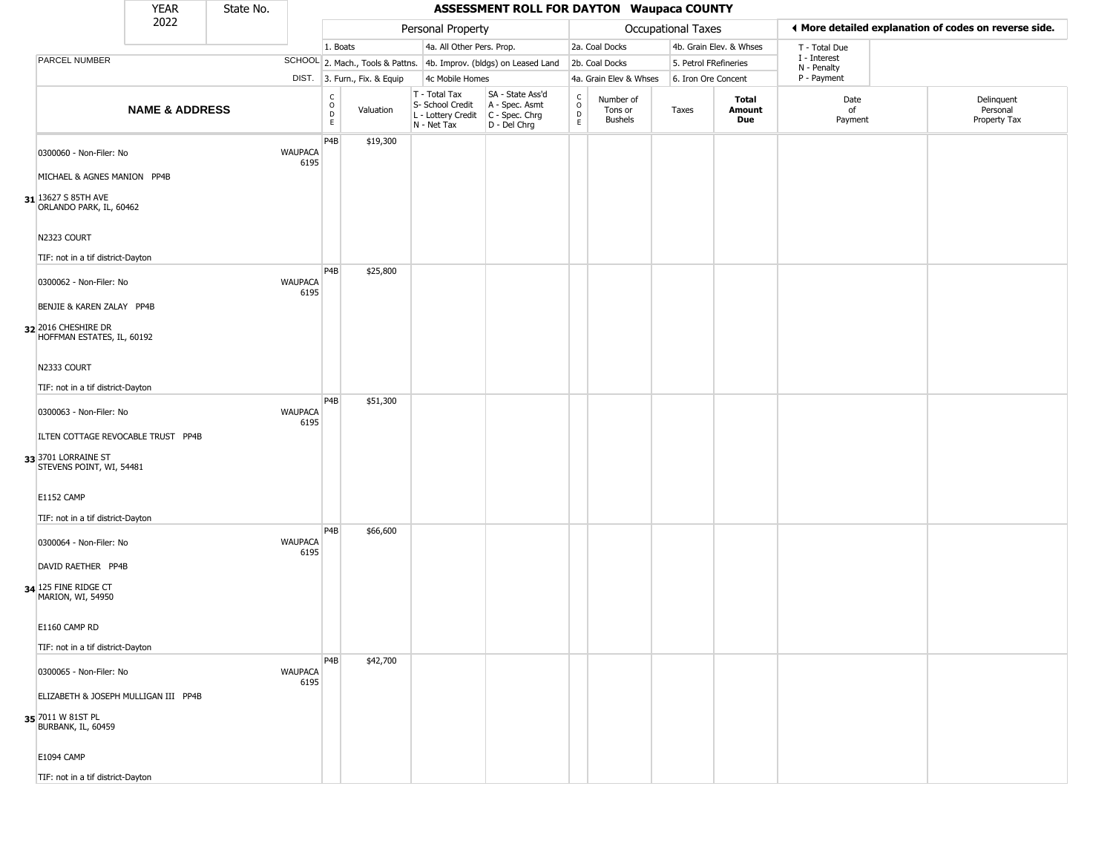|                                                                                       | YEAR                      | State No. |                        |                                        |                              |                                                                        | <b>ASSESSMENT ROLL FOR DAYTON Waupaca COUNTY</b>                     |                                          |                                        |                       |                         |                             |                                                       |
|---------------------------------------------------------------------------------------|---------------------------|-----------|------------------------|----------------------------------------|------------------------------|------------------------------------------------------------------------|----------------------------------------------------------------------|------------------------------------------|----------------------------------------|-----------------------|-------------------------|-----------------------------|-------------------------------------------------------|
|                                                                                       | 2022                      |           |                        |                                        |                              | Personal Property                                                      |                                                                      |                                          |                                        | Occupational Taxes    |                         |                             | ◀ More detailed explanation of codes on reverse side. |
|                                                                                       |                           |           |                        | 1. Boats                               |                              | 4a. All Other Pers. Prop.                                              |                                                                      |                                          | 2a. Coal Docks                         |                       | 4b. Grain Elev. & Whses | T - Total Due               |                                                       |
| PARCEL NUMBER                                                                         |                           |           |                        |                                        |                              |                                                                        | SCHOOL 2. Mach., Tools & Pattns. 4b. Improv. (bldgs) on Leased Land  |                                          | 2b. Coal Docks                         | 5. Petrol FRefineries |                         | I - Interest<br>N - Penalty |                                                       |
|                                                                                       |                           |           |                        |                                        | DIST. 3. Furn., Fix. & Equip | 4c Mobile Homes                                                        |                                                                      |                                          | 4a. Grain Elev & Whses                 | 6. Iron Ore Concent   |                         | P - Payment                 |                                                       |
|                                                                                       | <b>NAME &amp; ADDRESS</b> |           |                        | $_{\rm o}^{\rm c}$<br>D<br>$\mathsf E$ | Valuation                    | T - Total Tax<br>S- School Credit<br>L - Lottery Credit<br>N - Net Tax | SA - State Ass'd<br>A - Spec. Asmt<br>C - Spec. Chrg<br>D - Del Chrg | $\rm _o^C$<br>$\mathsf D$<br>$\mathsf E$ | Number of<br>Tons or<br><b>Bushels</b> | Taxes                 | Total<br>Amount<br>Due  | Date<br>of<br>Payment       | Delinquent<br>Personal<br>Property Tax                |
| 0300060 - Non-Filer: No<br>MICHAEL & AGNES MANION PP4B                                |                           |           | <b>WAUPACA</b><br>6195 | P4B                                    | \$19,300                     |                                                                        |                                                                      |                                          |                                        |                       |                         |                             |                                                       |
| 31 13627 S 85TH AVE<br>ORLANDO PARK, IL, 60462                                        |                           |           |                        |                                        |                              |                                                                        |                                                                      |                                          |                                        |                       |                         |                             |                                                       |
| N2323 COURT<br>TIF: not in a tif district-Dayton                                      |                           |           |                        | P4B                                    | \$25,800                     |                                                                        |                                                                      |                                          |                                        |                       |                         |                             |                                                       |
| 0300062 - Non-Filer: No<br>BENJIE & KAREN ZALAY PP4B                                  |                           |           | <b>WAUPACA</b><br>6195 |                                        |                              |                                                                        |                                                                      |                                          |                                        |                       |                         |                             |                                                       |
| 32 2016 CHESHIRE DR<br>HOFFMAN ESTATES, IL, 60192                                     |                           |           |                        |                                        |                              |                                                                        |                                                                      |                                          |                                        |                       |                         |                             |                                                       |
| N2333 COURT<br>TIF: not in a tif district-Dayton                                      |                           |           |                        |                                        |                              |                                                                        |                                                                      |                                          |                                        |                       |                         |                             |                                                       |
| 0300063 - Non-Filer: No                                                               |                           |           | <b>WAUPACA</b><br>6195 | P4B                                    | \$51,300                     |                                                                        |                                                                      |                                          |                                        |                       |                         |                             |                                                       |
| ILTEN COTTAGE REVOCABLE TRUST PP4B<br>33 3701 LORRAINE ST<br>STEVENS POINT, WI, 54481 |                           |           |                        |                                        |                              |                                                                        |                                                                      |                                          |                                        |                       |                         |                             |                                                       |
| <b>E1152 CAMP</b><br>TIF: not in a tif district-Dayton                                |                           |           |                        |                                        |                              |                                                                        |                                                                      |                                          |                                        |                       |                         |                             |                                                       |
| 0300064 - Non-Filer: No                                                               |                           |           | <b>WAUPACA</b><br>6195 | P4B                                    | \$66,600                     |                                                                        |                                                                      |                                          |                                        |                       |                         |                             |                                                       |
| DAVID RAETHER PP4B<br>34 125 FINE RIDGE CT<br>MARION, WI, 54950                       |                           |           |                        |                                        |                              |                                                                        |                                                                      |                                          |                                        |                       |                         |                             |                                                       |
| E1160 CAMP RD                                                                         |                           |           |                        |                                        |                              |                                                                        |                                                                      |                                          |                                        |                       |                         |                             |                                                       |
| TIF: not in a tif district-Dayton                                                     |                           |           |                        | P <sub>4</sub> B                       | \$42,700                     |                                                                        |                                                                      |                                          |                                        |                       |                         |                             |                                                       |
| 0300065 - Non-Filer: No<br>ELIZABETH & JOSEPH MULLIGAN III PP4B                       |                           |           | <b>WAUPACA</b><br>6195 |                                        |                              |                                                                        |                                                                      |                                          |                                        |                       |                         |                             |                                                       |
| 35 7011 W 81ST PL<br>BURBANK, IL, 60459                                               |                           |           |                        |                                        |                              |                                                                        |                                                                      |                                          |                                        |                       |                         |                             |                                                       |
| <b>E1094 CAMP</b>                                                                     |                           |           |                        |                                        |                              |                                                                        |                                                                      |                                          |                                        |                       |                         |                             |                                                       |
| TIF: not in a tif district-Dayton                                                     |                           |           |                        |                                        |                              |                                                                        |                                                                      |                                          |                                        |                       |                         |                             |                                                       |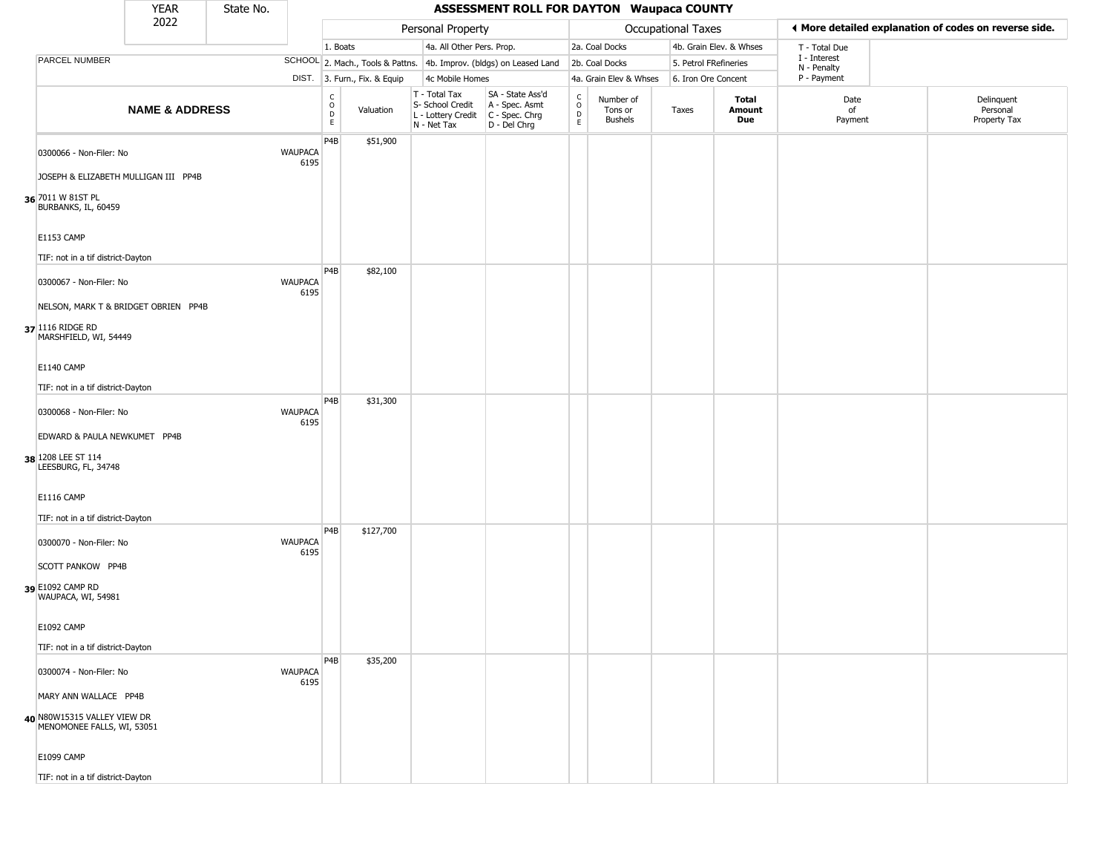|                                                                           | <b>YEAR</b>               | State No. |                        |                                                |                              |                                                                        | <b>ASSESSMENT ROLL FOR DAYTON Waupaca COUNTY</b>                     |                         |                                        |                       |                         |                            |                                                       |
|---------------------------------------------------------------------------|---------------------------|-----------|------------------------|------------------------------------------------|------------------------------|------------------------------------------------------------------------|----------------------------------------------------------------------|-------------------------|----------------------------------------|-----------------------|-------------------------|----------------------------|-------------------------------------------------------|
|                                                                           | 2022                      |           |                        |                                                |                              | Personal Property                                                      |                                                                      |                         |                                        | Occupational Taxes    |                         |                            | ◀ More detailed explanation of codes on reverse side. |
|                                                                           |                           |           |                        | 1. Boats                                       |                              | 4a. All Other Pers. Prop.                                              |                                                                      |                         | 2a. Coal Docks                         |                       | 4b. Grain Elev. & Whses | T - Total Due              |                                                       |
| PARCEL NUMBER                                                             |                           |           |                        |                                                |                              |                                                                        | SCHOOL 2. Mach., Tools & Pattns. 4b. Improv. (bldgs) on Leased Land  |                         | 2b. Coal Docks                         | 5. Petrol FRefineries |                         | I - Interest               |                                                       |
|                                                                           |                           |           |                        |                                                | DIST. 3. Furn., Fix. & Equip | 4c Mobile Homes                                                        |                                                                      |                         | 4a. Grain Elev & Whses                 | 6. Iron Ore Concent   |                         | N - Penalty<br>P - Payment |                                                       |
|                                                                           | <b>NAME &amp; ADDRESS</b> |           |                        | $\begin{matrix} 0 \\ 0 \\ D \end{matrix}$<br>E | Valuation                    | T - Total Tax<br>S- School Credit<br>L - Lottery Credit<br>N - Net Tax | SA - State Ass'd<br>A - Spec. Asmt<br>C - Spec. Chrg<br>D - Del Chrg | $\frac{c}{0}$<br>D<br>E | Number of<br>Tons or<br><b>Bushels</b> | Taxes                 | Total<br>Amount<br>Due  | Date<br>of<br>Payment      | Delinquent<br>Personal<br>Property Tax                |
| 0300066 - Non-Filer: No                                                   |                           |           | <b>WAUPACA</b><br>6195 | P4B                                            | \$51,900                     |                                                                        |                                                                      |                         |                                        |                       |                         |                            |                                                       |
| JOSEPH & ELIZABETH MULLIGAN III PP4B                                      |                           |           |                        |                                                |                              |                                                                        |                                                                      |                         |                                        |                       |                         |                            |                                                       |
| 36 7011 W 81ST PL<br>BURBANKS, IL, 60459                                  |                           |           |                        |                                                |                              |                                                                        |                                                                      |                         |                                        |                       |                         |                            |                                                       |
| <b>E1153 CAMP</b>                                                         |                           |           |                        |                                                |                              |                                                                        |                                                                      |                         |                                        |                       |                         |                            |                                                       |
| TIF: not in a tif district-Dayton                                         |                           |           |                        | P4B                                            | \$82,100                     |                                                                        |                                                                      |                         |                                        |                       |                         |                            |                                                       |
| 0300067 - Non-Filer: No                                                   |                           |           | <b>WAUPACA</b><br>6195 |                                                |                              |                                                                        |                                                                      |                         |                                        |                       |                         |                            |                                                       |
| NELSON, MARK T & BRIDGET OBRIEN PP4B                                      |                           |           |                        |                                                |                              |                                                                        |                                                                      |                         |                                        |                       |                         |                            |                                                       |
| 37 1116 RIDGE RD<br>MARSHFIELD, WI, 54449                                 |                           |           |                        |                                                |                              |                                                                        |                                                                      |                         |                                        |                       |                         |                            |                                                       |
| <b>E1140 CAMP</b>                                                         |                           |           |                        |                                                |                              |                                                                        |                                                                      |                         |                                        |                       |                         |                            |                                                       |
| TIF: not in a tif district-Dayton                                         |                           |           |                        |                                                |                              |                                                                        |                                                                      |                         |                                        |                       |                         |                            |                                                       |
| 0300068 - Non-Filer: No                                                   |                           |           | <b>WAUPACA</b><br>6195 | P4B                                            | \$31,300                     |                                                                        |                                                                      |                         |                                        |                       |                         |                            |                                                       |
| EDWARD & PAULA NEWKUMET PP4B<br>38 1208 LEE ST 114<br>LEESBURG, FL, 34748 |                           |           |                        |                                                |                              |                                                                        |                                                                      |                         |                                        |                       |                         |                            |                                                       |
|                                                                           |                           |           |                        |                                                |                              |                                                                        |                                                                      |                         |                                        |                       |                         |                            |                                                       |
| <b>E1116 CAMP</b>                                                         |                           |           |                        |                                                |                              |                                                                        |                                                                      |                         |                                        |                       |                         |                            |                                                       |
| TIF: not in a tif district-Dayton<br>0300070 - Non-Filer: No              |                           |           | <b>WAUPACA</b>         | P <sub>4</sub> B                               | \$127,700                    |                                                                        |                                                                      |                         |                                        |                       |                         |                            |                                                       |
| <b>SCOTT PANKOW PP4B</b>                                                  |                           |           | 6195                   |                                                |                              |                                                                        |                                                                      |                         |                                        |                       |                         |                            |                                                       |
| 39 E1092 CAMP RD<br>WAUPACA, WI, 54981                                    |                           |           |                        |                                                |                              |                                                                        |                                                                      |                         |                                        |                       |                         |                            |                                                       |
| E1092 CAMP                                                                |                           |           |                        |                                                |                              |                                                                        |                                                                      |                         |                                        |                       |                         |                            |                                                       |
| TIF: not in a tif district-Dayton                                         |                           |           |                        |                                                |                              |                                                                        |                                                                      |                         |                                        |                       |                         |                            |                                                       |
| 0300074 - Non-Filer: No                                                   |                           |           | <b>WAUPACA</b><br>6195 | P4B                                            | \$35,200                     |                                                                        |                                                                      |                         |                                        |                       |                         |                            |                                                       |
| MARY ANN WALLACE PP4B                                                     |                           |           |                        |                                                |                              |                                                                        |                                                                      |                         |                                        |                       |                         |                            |                                                       |
| 40 N80W15315 VALLEY VIEW DR<br>MENOMONEE FALLS, WI, 53051                 |                           |           |                        |                                                |                              |                                                                        |                                                                      |                         |                                        |                       |                         |                            |                                                       |
| E1099 CAMP                                                                |                           |           |                        |                                                |                              |                                                                        |                                                                      |                         |                                        |                       |                         |                            |                                                       |
| TIF: not in a tif district-Dayton                                         |                           |           |                        |                                                |                              |                                                                        |                                                                      |                         |                                        |                       |                         |                            |                                                       |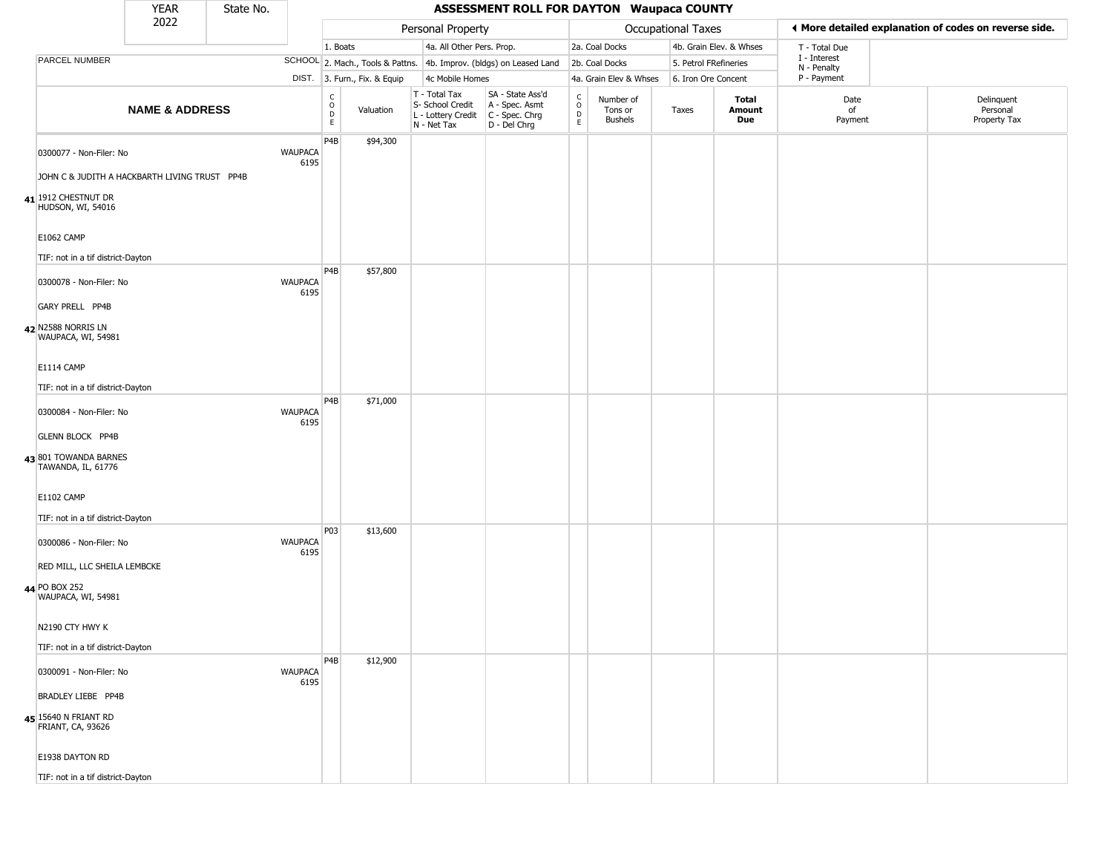|                                             | <b>YEAR</b>                                   | State No. |                        |                                                 |                              |                                                                        | <b>ASSESSMENT ROLL FOR DAYTON Waupaca COUNTY</b>                     |                                                   |                                        |                    |                         |                             |                                                       |
|---------------------------------------------|-----------------------------------------------|-----------|------------------------|-------------------------------------------------|------------------------------|------------------------------------------------------------------------|----------------------------------------------------------------------|---------------------------------------------------|----------------------------------------|--------------------|-------------------------|-----------------------------|-------------------------------------------------------|
|                                             | 2022                                          |           |                        |                                                 |                              | Personal Property                                                      |                                                                      |                                                   |                                        | Occupational Taxes |                         |                             | ♦ More detailed explanation of codes on reverse side. |
|                                             |                                               |           |                        | 1. Boats                                        |                              | 4a. All Other Pers. Prop.                                              |                                                                      |                                                   | 2a. Coal Docks                         |                    | 4b. Grain Elev. & Whses | T - Total Due               |                                                       |
| PARCEL NUMBER                               |                                               |           |                        |                                                 |                              |                                                                        | SCHOOL 2. Mach., Tools & Pattns. 4b. Improv. (bldgs) on Leased Land  |                                                   | 2b. Coal Docks                         |                    | 5. Petrol FRefineries   | I - Interest<br>N - Penalty |                                                       |
|                                             |                                               |           |                        |                                                 | DIST. 3. Furn., Fix. & Equip | 4c Mobile Homes                                                        |                                                                      |                                                   | 4a. Grain Elev & Whses                 |                    | 6. Iron Ore Concent     | P - Payment                 |                                                       |
|                                             | <b>NAME &amp; ADDRESS</b>                     |           |                        | $\begin{array}{c} C \\ O \\ D \\ E \end{array}$ | Valuation                    | T - Total Tax<br>S- School Credit<br>L - Lottery Credit<br>N - Net Tax | SA - State Ass'd<br>A - Spec. Asmt<br>C - Spec. Chrg<br>D - Del Chrg | C<br>$\begin{array}{c}\n0 \\ D \\ E\n\end{array}$ | Number of<br>Tons or<br><b>Bushels</b> | Taxes              | Total<br>Amount<br>Due  | Date<br>of<br>Payment       | Delinquent<br>Personal<br>Property Tax                |
| 0300077 - Non-Filer: No                     |                                               |           | <b>WAUPACA</b><br>6195 | P4B                                             | \$94,300                     |                                                                        |                                                                      |                                                   |                                        |                    |                         |                             |                                                       |
|                                             | JOHN C & JUDITH A HACKBARTH LIVING TRUST PP4B |           |                        |                                                 |                              |                                                                        |                                                                      |                                                   |                                        |                    |                         |                             |                                                       |
| 41 1912 CHESTNUT DR<br>HUDSON, WI, 54016    |                                               |           |                        |                                                 |                              |                                                                        |                                                                      |                                                   |                                        |                    |                         |                             |                                                       |
| <b>E1062 CAMP</b>                           |                                               |           |                        |                                                 |                              |                                                                        |                                                                      |                                                   |                                        |                    |                         |                             |                                                       |
| TIF: not in a tif district-Dayton           |                                               |           |                        | P4B                                             | \$57,800                     |                                                                        |                                                                      |                                                   |                                        |                    |                         |                             |                                                       |
| 0300078 - Non-Filer: No                     |                                               |           | <b>WAUPACA</b><br>6195 |                                                 |                              |                                                                        |                                                                      |                                                   |                                        |                    |                         |                             |                                                       |
| GARY PRELL PP4B                             |                                               |           |                        |                                                 |                              |                                                                        |                                                                      |                                                   |                                        |                    |                         |                             |                                                       |
| 42 N2588 NORRIS LN<br>WAUPACA, WI, 54981    |                                               |           |                        |                                                 |                              |                                                                        |                                                                      |                                                   |                                        |                    |                         |                             |                                                       |
| E1114 CAMP                                  |                                               |           |                        |                                                 |                              |                                                                        |                                                                      |                                                   |                                        |                    |                         |                             |                                                       |
| TIF: not in a tif district-Dayton           |                                               |           |                        |                                                 |                              |                                                                        |                                                                      |                                                   |                                        |                    |                         |                             |                                                       |
| 0300084 - Non-Filer: No                     |                                               |           | <b>WAUPACA</b><br>6195 | P <sub>4</sub> B                                | \$71,000                     |                                                                        |                                                                      |                                                   |                                        |                    |                         |                             |                                                       |
| <b>GLENN BLOCK PP4B</b>                     |                                               |           |                        |                                                 |                              |                                                                        |                                                                      |                                                   |                                        |                    |                         |                             |                                                       |
| 43 801 TOWANDA BARNES<br>TAWANDA, IL, 61776 |                                               |           |                        |                                                 |                              |                                                                        |                                                                      |                                                   |                                        |                    |                         |                             |                                                       |
| <b>E1102 CAMP</b>                           |                                               |           |                        |                                                 |                              |                                                                        |                                                                      |                                                   |                                        |                    |                         |                             |                                                       |
| TIF: not in a tif district-Dayton           |                                               |           |                        |                                                 |                              |                                                                        |                                                                      |                                                   |                                        |                    |                         |                             |                                                       |
| 0300086 - Non-Filer: No                     |                                               |           | <b>WAUPACA</b><br>6195 | P03                                             | \$13,600                     |                                                                        |                                                                      |                                                   |                                        |                    |                         |                             |                                                       |
| RED MILL, LLC SHEILA LEMBCKE                |                                               |           |                        |                                                 |                              |                                                                        |                                                                      |                                                   |                                        |                    |                         |                             |                                                       |
| 44 PO BOX 252<br>WAUPACA, WI, 54981         |                                               |           |                        |                                                 |                              |                                                                        |                                                                      |                                                   |                                        |                    |                         |                             |                                                       |
| N2190 CTY HWY K                             |                                               |           |                        |                                                 |                              |                                                                        |                                                                      |                                                   |                                        |                    |                         |                             |                                                       |
| TIF: not in a tif district-Dayton           |                                               |           |                        |                                                 |                              |                                                                        |                                                                      |                                                   |                                        |                    |                         |                             |                                                       |
| 0300091 - Non-Filer: No                     |                                               |           | WAUPACA<br>6195        | P4B                                             | \$12,900                     |                                                                        |                                                                      |                                                   |                                        |                    |                         |                             |                                                       |
| <b>BRADLEY LIEBE PP4B</b>                   |                                               |           |                        |                                                 |                              |                                                                        |                                                                      |                                                   |                                        |                    |                         |                             |                                                       |
| 45 15640 N FRIANT RD<br>FRIANT, CA, 93626   |                                               |           |                        |                                                 |                              |                                                                        |                                                                      |                                                   |                                        |                    |                         |                             |                                                       |
| E1938 DAYTON RD                             |                                               |           |                        |                                                 |                              |                                                                        |                                                                      |                                                   |                                        |                    |                         |                             |                                                       |
| TIF: not in a tif district-Dayton           |                                               |           |                        |                                                 |                              |                                                                        |                                                                      |                                                   |                                        |                    |                         |                             |                                                       |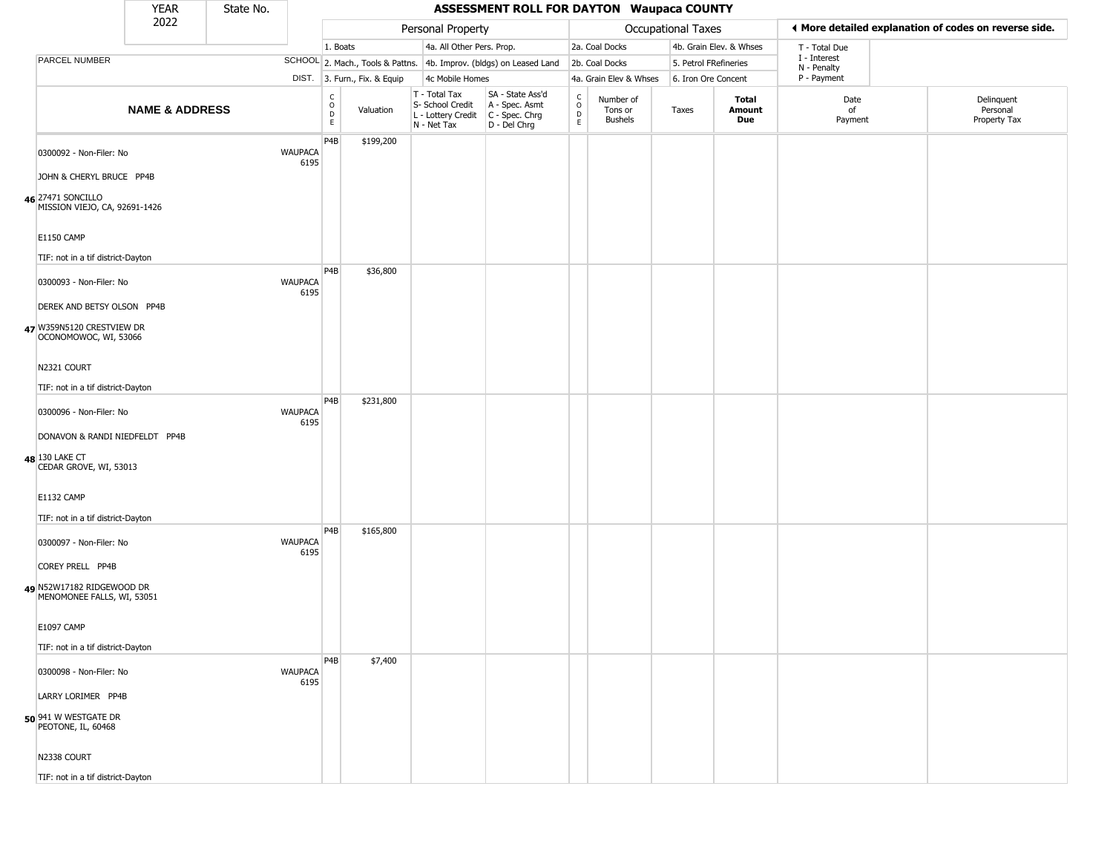|                                                                                  | <b>YEAR</b>                    | State No. |                        |                         |                              |                                                                        | <b>ASSESSMENT ROLL FOR DAYTON Waupaca COUNTY</b>                     |                                      |                                        |                       |                         |                             |                                                       |
|----------------------------------------------------------------------------------|--------------------------------|-----------|------------------------|-------------------------|------------------------------|------------------------------------------------------------------------|----------------------------------------------------------------------|--------------------------------------|----------------------------------------|-----------------------|-------------------------|-----------------------------|-------------------------------------------------------|
|                                                                                  | 2022                           |           |                        |                         |                              | Personal Property                                                      |                                                                      |                                      |                                        | Occupational Taxes    |                         |                             | ◀ More detailed explanation of codes on reverse side. |
|                                                                                  |                                |           |                        | 1. Boats                |                              | 4a. All Other Pers. Prop.                                              |                                                                      |                                      | 2a. Coal Docks                         |                       | 4b. Grain Elev. & Whses | T - Total Due               |                                                       |
| PARCEL NUMBER                                                                    |                                |           |                        |                         |                              |                                                                        | SCHOOL 2. Mach., Tools & Pattns. 4b. Improv. (bldgs) on Leased Land  |                                      | 2b. Coal Docks                         | 5. Petrol FRefineries |                         | I - Interest<br>N - Penalty |                                                       |
|                                                                                  |                                |           |                        |                         | DIST. 3. Furn., Fix. & Equip | 4c Mobile Homes                                                        |                                                                      |                                      | 4a. Grain Elev & Whses                 | 6. Iron Ore Concent   |                         | P - Payment                 |                                                       |
|                                                                                  | <b>NAME &amp; ADDRESS</b>      |           |                        | C<br>$\circ$<br>D<br>E. | Valuation                    | T - Total Tax<br>S- School Credit<br>L - Lottery Credit<br>N - Net Tax | SA - State Ass'd<br>A - Spec. Asmt<br>C - Spec. Chrg<br>D - Del Chrg | $_{\rm o}^{\rm c}$<br>$\overline{P}$ | Number of<br>Tons or<br><b>Bushels</b> | Taxes                 | Total<br>Amount<br>Due  | Date<br>of<br>Payment       | Delinquent<br>Personal<br>Property Tax                |
| 0300092 - Non-Filer: No                                                          |                                |           | <b>WAUPACA</b><br>6195 | P4B                     | \$199,200                    |                                                                        |                                                                      |                                      |                                        |                       |                         |                             |                                                       |
| JOHN & CHERYL BRUCE PP4B                                                         |                                |           |                        |                         |                              |                                                                        |                                                                      |                                      |                                        |                       |                         |                             |                                                       |
| 46 27471 SONCILLO<br>MISSION VIEJO, CA, 92691-1426                               |                                |           |                        |                         |                              |                                                                        |                                                                      |                                      |                                        |                       |                         |                             |                                                       |
| <b>E1150 CAMP</b>                                                                |                                |           |                        |                         |                              |                                                                        |                                                                      |                                      |                                        |                       |                         |                             |                                                       |
| TIF: not in a tif district-Dayton                                                |                                |           |                        | P4B                     | \$36,800                     |                                                                        |                                                                      |                                      |                                        |                       |                         |                             |                                                       |
| 0300093 - Non-Filer: No                                                          |                                |           | <b>WAUPACA</b><br>6195 |                         |                              |                                                                        |                                                                      |                                      |                                        |                       |                         |                             |                                                       |
| DEREK AND BETSY OLSON PP4B<br>47 W359N5120 CRESTVIEW DR<br>OCONOMOWOC, WI, 53066 |                                |           |                        |                         |                              |                                                                        |                                                                      |                                      |                                        |                       |                         |                             |                                                       |
| N2321 COURT                                                                      |                                |           |                        |                         |                              |                                                                        |                                                                      |                                      |                                        |                       |                         |                             |                                                       |
| TIF: not in a tif district-Dayton                                                |                                |           |                        |                         |                              |                                                                        |                                                                      |                                      |                                        |                       |                         |                             |                                                       |
| 0300096 - Non-Filer: No                                                          |                                |           | <b>WAUPACA</b><br>6195 | P <sub>4</sub> B        | \$231,800                    |                                                                        |                                                                      |                                      |                                        |                       |                         |                             |                                                       |
| 48 130 LAKE CT<br>CEDAR GROVE, WI, 53013                                         | DONAVON & RANDI NIEDFELDT PP4B |           |                        |                         |                              |                                                                        |                                                                      |                                      |                                        |                       |                         |                             |                                                       |
| E1132 CAMP                                                                       |                                |           |                        |                         |                              |                                                                        |                                                                      |                                      |                                        |                       |                         |                             |                                                       |
| TIF: not in a tif district-Dayton                                                |                                |           |                        |                         |                              |                                                                        |                                                                      |                                      |                                        |                       |                         |                             |                                                       |
| 0300097 - Non-Filer: No                                                          |                                |           | <b>WAUPACA</b><br>6195 | P4B                     | \$165,800                    |                                                                        |                                                                      |                                      |                                        |                       |                         |                             |                                                       |
| COREY PRELL PP4B                                                                 |                                |           |                        |                         |                              |                                                                        |                                                                      |                                      |                                        |                       |                         |                             |                                                       |
| 49 N52W17182 RIDGEWOOD DR<br>MENOMONEE FALLS, WI, 53051                          |                                |           |                        |                         |                              |                                                                        |                                                                      |                                      |                                        |                       |                         |                             |                                                       |
| E1097 CAMP                                                                       |                                |           |                        |                         |                              |                                                                        |                                                                      |                                      |                                        |                       |                         |                             |                                                       |
| TIF: not in a tif district-Dayton                                                |                                |           |                        |                         |                              |                                                                        |                                                                      |                                      |                                        |                       |                         |                             |                                                       |
| 0300098 - Non-Filer: No                                                          |                                |           | <b>WAUPACA</b><br>6195 | P4B                     | \$7,400                      |                                                                        |                                                                      |                                      |                                        |                       |                         |                             |                                                       |
| LARRY LORIMER PP4B                                                               |                                |           |                        |                         |                              |                                                                        |                                                                      |                                      |                                        |                       |                         |                             |                                                       |
| 50 941 W WESTGATE DR<br>PEOTONE, IL, 60468                                       |                                |           |                        |                         |                              |                                                                        |                                                                      |                                      |                                        |                       |                         |                             |                                                       |
| N2338 COURT                                                                      |                                |           |                        |                         |                              |                                                                        |                                                                      |                                      |                                        |                       |                         |                             |                                                       |
| TIF: not in a tif district-Dayton                                                |                                |           |                        |                         |                              |                                                                        |                                                                      |                                      |                                        |                       |                         |                             |                                                       |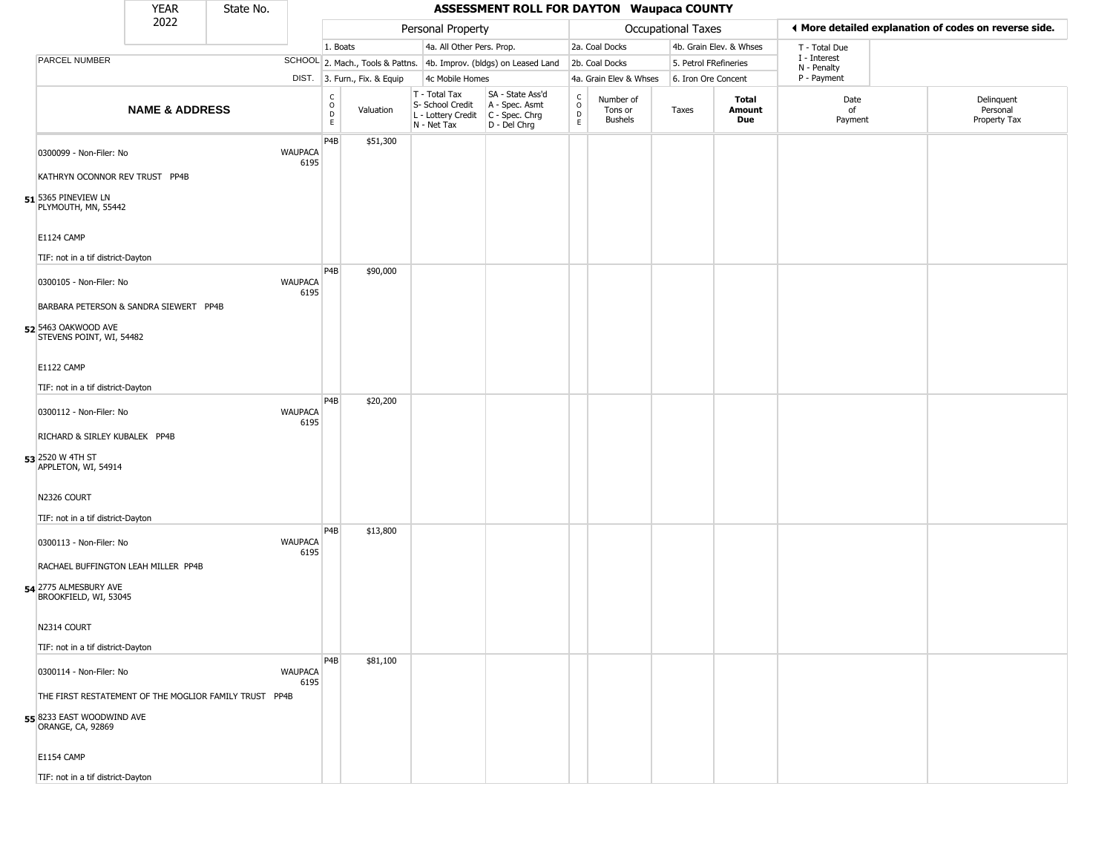|                                                        | <b>YEAR</b>               | State No. |                        |                                                |                              |                                                                                         | <b>ASSESSMENT ROLL FOR DAYTON Waupaca COUNTY</b>                    |                                        |                                        |                    |                         |                            |                                                       |
|--------------------------------------------------------|---------------------------|-----------|------------------------|------------------------------------------------|------------------------------|-----------------------------------------------------------------------------------------|---------------------------------------------------------------------|----------------------------------------|----------------------------------------|--------------------|-------------------------|----------------------------|-------------------------------------------------------|
|                                                        | 2022                      |           |                        |                                                |                              | Personal Property                                                                       |                                                                     |                                        |                                        | Occupational Taxes |                         |                            | ◀ More detailed explanation of codes on reverse side. |
|                                                        |                           |           |                        | 1. Boats                                       |                              | 4a. All Other Pers. Prop.                                                               |                                                                     |                                        | 2a. Coal Docks                         |                    | 4b. Grain Elev. & Whses | T - Total Due              |                                                       |
| <b>PARCEL NUMBER</b>                                   |                           |           |                        |                                                |                              |                                                                                         | SCHOOL 2. Mach., Tools & Pattns. 4b. Improv. (bldgs) on Leased Land |                                        | 2b. Coal Docks                         |                    | 5. Petrol FRefineries   | I - Interest               |                                                       |
|                                                        |                           |           |                        |                                                | DIST. 3. Furn., Fix. & Equip | 4c Mobile Homes                                                                         |                                                                     |                                        | 4a. Grain Elev & Whses                 |                    | 6. Iron Ore Concent     | N - Penalty<br>P - Payment |                                                       |
|                                                        | <b>NAME &amp; ADDRESS</b> |           |                        | $\begin{matrix} 0 \\ 0 \\ D \end{matrix}$<br>E | Valuation                    | T - Total Tax<br>S- School Credit<br>L - Lottery Credit   C - Spec. Chrg<br>N - Net Tax | SA - State Ass'd<br>A - Spec. Asmt<br>D - Del Chrg                  | $_{\rm o}^{\rm c}$<br>$\mathsf D$<br>E | Number of<br>Tons or<br><b>Bushels</b> | Taxes              | Total<br>Amount<br>Due  | Date<br>of<br>Payment      | Delinquent<br>Personal<br>Property Tax                |
| 0300099 - Non-Filer: No                                |                           |           | <b>WAUPACA</b><br>6195 | P4B                                            | \$51,300                     |                                                                                         |                                                                     |                                        |                                        |                    |                         |                            |                                                       |
| KATHRYN OCONNOR REV TRUST PP4B                         |                           |           |                        |                                                |                              |                                                                                         |                                                                     |                                        |                                        |                    |                         |                            |                                                       |
| $51$ 5365 PINEVIEW LN<br>PLYMOUTH, MN, 55442           |                           |           |                        |                                                |                              |                                                                                         |                                                                     |                                        |                                        |                    |                         |                            |                                                       |
| E1124 CAMP                                             |                           |           |                        |                                                |                              |                                                                                         |                                                                     |                                        |                                        |                    |                         |                            |                                                       |
| TIF: not in a tif district-Dayton                      |                           |           |                        | P <sub>4</sub> B                               |                              |                                                                                         |                                                                     |                                        |                                        |                    |                         |                            |                                                       |
| 0300105 - Non-Filer: No                                |                           |           | <b>WAUPACA</b><br>6195 |                                                | \$90,000                     |                                                                                         |                                                                     |                                        |                                        |                    |                         |                            |                                                       |
| BARBARA PETERSON & SANDRA SIEWERT PP4B                 |                           |           |                        |                                                |                              |                                                                                         |                                                                     |                                        |                                        |                    |                         |                            |                                                       |
| 52 5463 OAKWOOD AVE<br>STEVENS POINT, WI, 54482        |                           |           |                        |                                                |                              |                                                                                         |                                                                     |                                        |                                        |                    |                         |                            |                                                       |
| E1122 CAMP                                             |                           |           |                        |                                                |                              |                                                                                         |                                                                     |                                        |                                        |                    |                         |                            |                                                       |
|                                                        |                           |           |                        |                                                |                              |                                                                                         |                                                                     |                                        |                                        |                    |                         |                            |                                                       |
| TIF: not in a tif district-Dayton                      |                           |           |                        | P4B                                            | \$20,200                     |                                                                                         |                                                                     |                                        |                                        |                    |                         |                            |                                                       |
| 0300112 - Non-Filer: No                                |                           |           | <b>WAUPACA</b><br>6195 |                                                |                              |                                                                                         |                                                                     |                                        |                                        |                    |                         |                            |                                                       |
| RICHARD & SIRLEY KUBALEK PP4B                          |                           |           |                        |                                                |                              |                                                                                         |                                                                     |                                        |                                        |                    |                         |                            |                                                       |
| 53 2520 W 4TH ST<br>APPLETON, WI, 54914                |                           |           |                        |                                                |                              |                                                                                         |                                                                     |                                        |                                        |                    |                         |                            |                                                       |
| N2326 COURT                                            |                           |           |                        |                                                |                              |                                                                                         |                                                                     |                                        |                                        |                    |                         |                            |                                                       |
| TIF: not in a tif district-Dayton                      |                           |           |                        | P <sub>4</sub> B                               |                              |                                                                                         |                                                                     |                                        |                                        |                    |                         |                            |                                                       |
| 0300113 - Non-Filer: No                                |                           |           | <b>WAUPACA</b><br>6195 |                                                | \$13,800                     |                                                                                         |                                                                     |                                        |                                        |                    |                         |                            |                                                       |
| RACHAEL BUFFINGTON LEAH MILLER PP4B                    |                           |           |                        |                                                |                              |                                                                                         |                                                                     |                                        |                                        |                    |                         |                            |                                                       |
| 54 2775 ALMESBURY AVE<br>BROOKFIELD, WI, 53045         |                           |           |                        |                                                |                              |                                                                                         |                                                                     |                                        |                                        |                    |                         |                            |                                                       |
| N2314 COURT                                            |                           |           |                        |                                                |                              |                                                                                         |                                                                     |                                        |                                        |                    |                         |                            |                                                       |
| TIF: not in a tif district-Dayton                      |                           |           |                        |                                                |                              |                                                                                         |                                                                     |                                        |                                        |                    |                         |                            |                                                       |
| 0300114 - Non-Filer: No                                |                           |           | <b>WAUPACA</b><br>6195 | P <sub>4</sub> B                               | \$81,100                     |                                                                                         |                                                                     |                                        |                                        |                    |                         |                            |                                                       |
| THE FIRST RESTATEMENT OF THE MOGLIOR FAMILY TRUST PP4B |                           |           |                        |                                                |                              |                                                                                         |                                                                     |                                        |                                        |                    |                         |                            |                                                       |
| 55 8233 EAST WOODWIND AVE<br>ORANGE, CA, 92869         |                           |           |                        |                                                |                              |                                                                                         |                                                                     |                                        |                                        |                    |                         |                            |                                                       |
| <b>E1154 CAMP</b>                                      |                           |           |                        |                                                |                              |                                                                                         |                                                                     |                                        |                                        |                    |                         |                            |                                                       |
| TIF: not in a tif district-Dayton                      |                           |           |                        |                                                |                              |                                                                                         |                                                                     |                                        |                                        |                    |                         |                            |                                                       |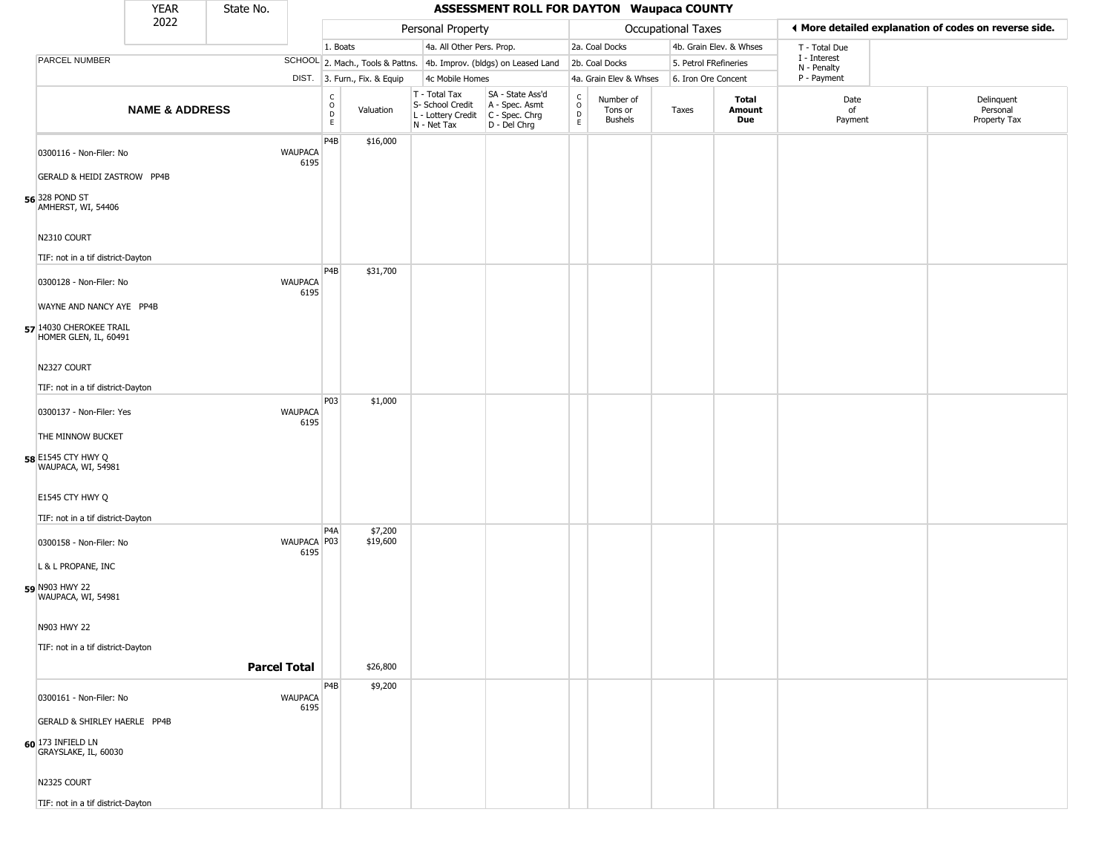|                                                  | YEAR                      | State No. |                        |                  |                                  |                                                                                       | <b>ASSESSMENT ROLL FOR DAYTON Waupaca COUNTY</b>   |                                   |                                        |                       |                         |                             |                                                       |
|--------------------------------------------------|---------------------------|-----------|------------------------|------------------|----------------------------------|---------------------------------------------------------------------------------------|----------------------------------------------------|-----------------------------------|----------------------------------------|-----------------------|-------------------------|-----------------------------|-------------------------------------------------------|
|                                                  | 2022                      |           |                        |                  |                                  | Personal Property                                                                     |                                                    |                                   |                                        | Occupational Taxes    |                         |                             | ♦ More detailed explanation of codes on reverse side. |
|                                                  |                           |           |                        | 1. Boats         |                                  | 4a. All Other Pers. Prop.                                                             |                                                    |                                   | 2a. Coal Docks                         |                       | 4b. Grain Elev. & Whses | T - Total Due               |                                                       |
| <b>PARCEL NUMBER</b>                             |                           |           |                        |                  | SCHOOL 2. Mach., Tools & Pattns. |                                                                                       | 4b. Improv. (bldgs) on Leased Land                 |                                   | 2b. Coal Docks                         | 5. Petrol FRefineries |                         | I - Interest<br>N - Penalty |                                                       |
|                                                  |                           |           |                        |                  | DIST. 3. Furn., Fix. & Equip     | 4c Mobile Homes                                                                       |                                                    |                                   | 4a. Grain Elev & Whses                 | 6. Iron Ore Concent   |                         | P - Payment                 |                                                       |
|                                                  | <b>NAME &amp; ADDRESS</b> |           |                        | C<br>D<br>E<br>E | Valuation                        | T - Total Tax<br>S- School Credit<br>L - Lottery Credit C - Spec. Chrg<br>N - Net Tax | SA - State Ass'd<br>A - Spec. Asmt<br>D - Del Chrg | $\mathsf{C}$<br>$\circ$<br>D<br>E | Number of<br>Tons or<br><b>Bushels</b> | Taxes                 | Total<br>Amount<br>Due  | Date<br>of<br>Payment       | Delinquent<br>Personal<br>Property Tax                |
| 0300116 - Non-Filer: No                          |                           |           | <b>WAUPACA</b><br>6195 | P4B              | \$16,000                         |                                                                                       |                                                    |                                   |                                        |                       |                         |                             |                                                       |
| <b>GERALD &amp; HEIDI ZASTROW PP4B</b>           |                           |           |                        |                  |                                  |                                                                                       |                                                    |                                   |                                        |                       |                         |                             |                                                       |
| 56 <sup>328</sup> POND ST<br>AMHERST, WI, 54406  |                           |           |                        |                  |                                  |                                                                                       |                                                    |                                   |                                        |                       |                         |                             |                                                       |
| N2310 COURT                                      |                           |           |                        |                  |                                  |                                                                                       |                                                    |                                   |                                        |                       |                         |                             |                                                       |
| TIF: not in a tif district-Dayton                |                           |           |                        |                  |                                  |                                                                                       |                                                    |                                   |                                        |                       |                         |                             |                                                       |
| 0300128 - Non-Filer: No                          |                           |           | <b>WAUPACA</b><br>6195 | P <sub>4</sub> B | \$31,700                         |                                                                                       |                                                    |                                   |                                        |                       |                         |                             |                                                       |
| WAYNE AND NANCY AYE PP4B                         |                           |           |                        |                  |                                  |                                                                                       |                                                    |                                   |                                        |                       |                         |                             |                                                       |
| 57 14030 CHEROKEE TRAIL<br>HOMER GLEN, IL, 60491 |                           |           |                        |                  |                                  |                                                                                       |                                                    |                                   |                                        |                       |                         |                             |                                                       |
| N2327 COURT                                      |                           |           |                        |                  |                                  |                                                                                       |                                                    |                                   |                                        |                       |                         |                             |                                                       |
| TIF: not in a tif district-Dayton                |                           |           |                        |                  |                                  |                                                                                       |                                                    |                                   |                                        |                       |                         |                             |                                                       |
| 0300137 - Non-Filer: Yes                         |                           |           | <b>WAUPACA</b><br>6195 | P03              | \$1,000                          |                                                                                       |                                                    |                                   |                                        |                       |                         |                             |                                                       |
| THE MINNOW BUCKET                                |                           |           |                        |                  |                                  |                                                                                       |                                                    |                                   |                                        |                       |                         |                             |                                                       |
| 58 E1545 CTY HWY Q<br>WAUPACA, WI, 54981         |                           |           |                        |                  |                                  |                                                                                       |                                                    |                                   |                                        |                       |                         |                             |                                                       |
| E1545 CTY HWY Q                                  |                           |           |                        |                  |                                  |                                                                                       |                                                    |                                   |                                        |                       |                         |                             |                                                       |
| TIF: not in a tif district-Dayton                |                           |           |                        |                  |                                  |                                                                                       |                                                    |                                   |                                        |                       |                         |                             |                                                       |
| 0300158 - Non-Filer: No                          |                           |           | WAUPACA P03<br>6195    | P4A              | \$7,200<br>\$19,600              |                                                                                       |                                                    |                                   |                                        |                       |                         |                             |                                                       |
| L & L PROPANE, INC                               |                           |           |                        |                  |                                  |                                                                                       |                                                    |                                   |                                        |                       |                         |                             |                                                       |
| 59 N903 HWY 22<br>WAUPACA, WI, 54981             |                           |           |                        |                  |                                  |                                                                                       |                                                    |                                   |                                        |                       |                         |                             |                                                       |
| N903 HWY 22                                      |                           |           |                        |                  |                                  |                                                                                       |                                                    |                                   |                                        |                       |                         |                             |                                                       |
| TIF: not in a tif district-Dayton                |                           |           |                        |                  |                                  |                                                                                       |                                                    |                                   |                                        |                       |                         |                             |                                                       |
|                                                  |                           |           | <b>Parcel Total</b>    |                  | \$26,800                         |                                                                                       |                                                    |                                   |                                        |                       |                         |                             |                                                       |
| 0300161 - Non-Filer: No                          |                           |           | <b>WAUPACA</b>         | P <sub>4</sub> B | \$9,200                          |                                                                                       |                                                    |                                   |                                        |                       |                         |                             |                                                       |
|                                                  |                           |           | 6195                   |                  |                                  |                                                                                       |                                                    |                                   |                                        |                       |                         |                             |                                                       |
| GERALD & SHIRLEY HAERLE PP4B                     |                           |           |                        |                  |                                  |                                                                                       |                                                    |                                   |                                        |                       |                         |                             |                                                       |
| 60 173 INFIELD LN<br>GRAYSLAKE, IL, 60030        |                           |           |                        |                  |                                  |                                                                                       |                                                    |                                   |                                        |                       |                         |                             |                                                       |
| N2325 COURT                                      |                           |           |                        |                  |                                  |                                                                                       |                                                    |                                   |                                        |                       |                         |                             |                                                       |
| TIF: not in a tif district-Dayton                |                           |           |                        |                  |                                  |                                                                                       |                                                    |                                   |                                        |                       |                         |                             |                                                       |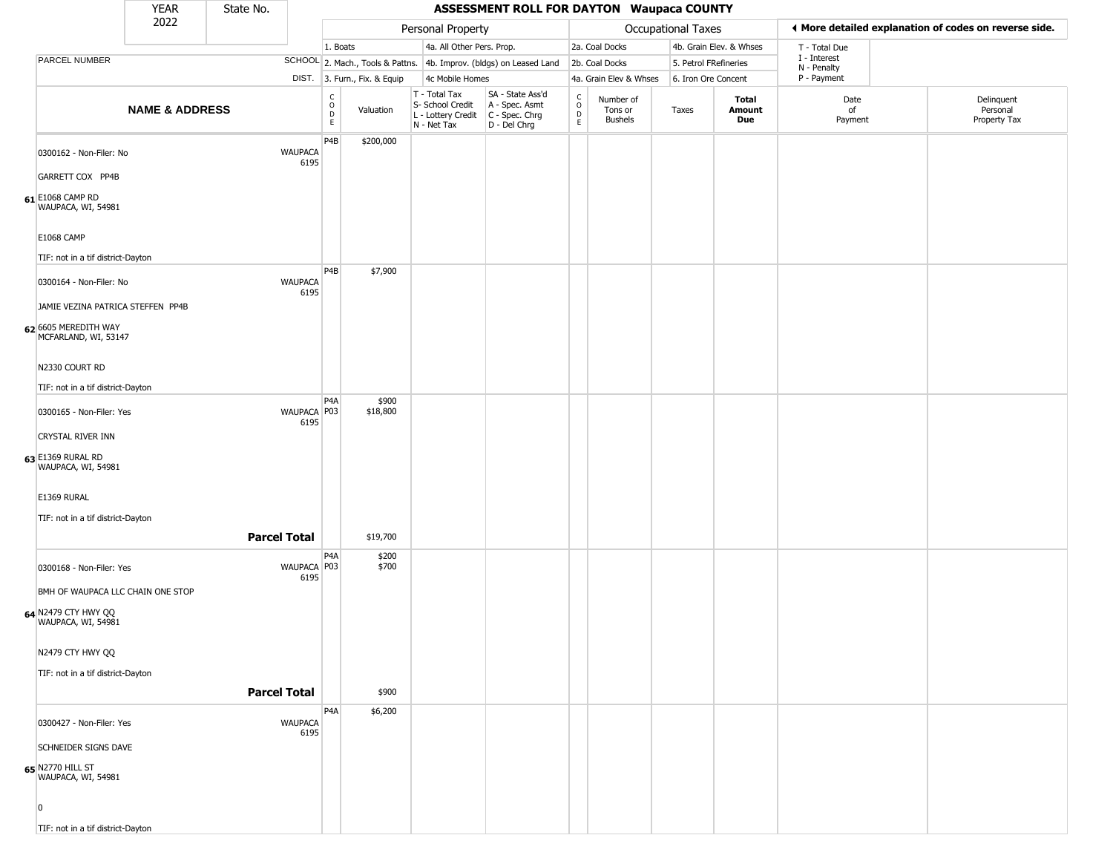|                                              | <b>YEAR</b>                       | State No.           |                        |                  |                                  |                                                  |                           | <b>ASSESSMENT ROLL FOR DAYTON Waupaca COUNTY</b>                       |                                                                    |                                        |                       |                         |                             |                                                       |
|----------------------------------------------|-----------------------------------|---------------------|------------------------|------------------|----------------------------------|--------------------------------------------------|---------------------------|------------------------------------------------------------------------|--------------------------------------------------------------------|----------------------------------------|-----------------------|-------------------------|-----------------------------|-------------------------------------------------------|
|                                              | 2022                              |                     |                        |                  |                                  |                                                  | Personal Property         |                                                                        |                                                                    |                                        | Occupational Taxes    |                         |                             | I More detailed explanation of codes on reverse side. |
|                                              |                                   |                     |                        | 1. Boats         |                                  |                                                  | 4a. All Other Pers. Prop. |                                                                        |                                                                    | 2a. Coal Docks                         |                       | 4b. Grain Elev. & Whses | T - Total Due               |                                                       |
| PARCEL NUMBER                                |                                   |                     |                        |                  | SCHOOL 2. Mach., Tools & Pattns. |                                                  |                           | 4b. Improv. (bldgs) on Leased Land                                     |                                                                    | 2b. Coal Docks                         | 5. Petrol FRefineries |                         | I - Interest<br>N - Penalty |                                                       |
|                                              |                                   |                     |                        |                  | DIST. 3. Furn., Fix. & Equip     |                                                  | 4c Mobile Homes           |                                                                        |                                                                    | 4a. Grain Elev & Whses                 | 6. Iron Ore Concent   |                         | P - Payment                 |                                                       |
|                                              | <b>NAME &amp; ADDRESS</b>         |                     |                        | C<br>D<br>E<br>E | Valuation                        | T - Total Tax<br>S- School Credit<br>N - Net Tax | L - Lottery Credit        | SA - State Ass'd<br>A - Spec. Asmt<br>$C - Spec. Chrg$<br>D - Del Chrg | $\begin{smallmatrix} C \\ O \\ D \end{smallmatrix}$<br>$\mathsf E$ | Number of<br>Tons or<br><b>Bushels</b> | Taxes                 | Total<br>Amount<br>Due  | Date<br>of<br>Payment       | Delinquent<br>Personal<br>Property Tax                |
| 0300162 - Non-Filer: No                      |                                   |                     | <b>WAUPACA</b><br>6195 | P4B              | \$200,000                        |                                                  |                           |                                                                        |                                                                    |                                        |                       |                         |                             |                                                       |
| GARRETT COX PP4B                             |                                   |                     |                        |                  |                                  |                                                  |                           |                                                                        |                                                                    |                                        |                       |                         |                             |                                                       |
| 61 E1068 CAMP RD<br>WAUPACA, WI, 54981       |                                   |                     |                        |                  |                                  |                                                  |                           |                                                                        |                                                                    |                                        |                       |                         |                             |                                                       |
| <b>E1068 CAMP</b>                            |                                   |                     |                        |                  |                                  |                                                  |                           |                                                                        |                                                                    |                                        |                       |                         |                             |                                                       |
| TIF: not in a tif district-Dayton            |                                   |                     |                        |                  |                                  |                                                  |                           |                                                                        |                                                                    |                                        |                       |                         |                             |                                                       |
| 0300164 - Non-Filer: No                      |                                   |                     | <b>WAUPACA</b><br>6195 | P4B              | \$7,900                          |                                                  |                           |                                                                        |                                                                    |                                        |                       |                         |                             |                                                       |
|                                              | JAMIE VEZINA PATRICA STEFFEN PP4B |                     |                        |                  |                                  |                                                  |                           |                                                                        |                                                                    |                                        |                       |                         |                             |                                                       |
| 62 6605 MEREDITH WAY<br>MCFARLAND, WI, 53147 |                                   |                     |                        |                  |                                  |                                                  |                           |                                                                        |                                                                    |                                        |                       |                         |                             |                                                       |
| N2330 COURT RD                               |                                   |                     |                        |                  |                                  |                                                  |                           |                                                                        |                                                                    |                                        |                       |                         |                             |                                                       |
| TIF: not in a tif district-Dayton            |                                   |                     |                        |                  |                                  |                                                  |                           |                                                                        |                                                                    |                                        |                       |                         |                             |                                                       |
| 0300165 - Non-Filer: Yes                     |                                   |                     | WAUPACA P03<br>6195    | P <sub>4</sub> A | \$900<br>\$18,800                |                                                  |                           |                                                                        |                                                                    |                                        |                       |                         |                             |                                                       |
| CRYSTAL RIVER INN                            |                                   |                     |                        |                  |                                  |                                                  |                           |                                                                        |                                                                    |                                        |                       |                         |                             |                                                       |
| 63 E1369 RURAL RD<br>WAUPACA, WI, 54981      |                                   |                     |                        |                  |                                  |                                                  |                           |                                                                        |                                                                    |                                        |                       |                         |                             |                                                       |
| E1369 RURAL                                  |                                   |                     |                        |                  |                                  |                                                  |                           |                                                                        |                                                                    |                                        |                       |                         |                             |                                                       |
| TIF: not in a tif district-Dayton            |                                   |                     |                        |                  |                                  |                                                  |                           |                                                                        |                                                                    |                                        |                       |                         |                             |                                                       |
|                                              |                                   | <b>Parcel Total</b> |                        |                  | \$19,700                         |                                                  |                           |                                                                        |                                                                    |                                        |                       |                         |                             |                                                       |
| 0300168 - Non-Filer: Yes                     |                                   |                     | WAUPACA P03<br>6195    | P <sub>4</sub> A | \$200<br>\$700                   |                                                  |                           |                                                                        |                                                                    |                                        |                       |                         |                             |                                                       |
|                                              | BMH OF WAUPACA LLC CHAIN ONE STOP |                     |                        |                  |                                  |                                                  |                           |                                                                        |                                                                    |                                        |                       |                         |                             |                                                       |
| 64 N2479 CTY HWY QQ<br>WAUPACA, WI, 54981    |                                   |                     |                        |                  |                                  |                                                  |                           |                                                                        |                                                                    |                                        |                       |                         |                             |                                                       |
| N2479 CTY HWY QQ                             |                                   |                     |                        |                  |                                  |                                                  |                           |                                                                        |                                                                    |                                        |                       |                         |                             |                                                       |
| TIF: not in a tif district-Dayton            |                                   |                     |                        |                  |                                  |                                                  |                           |                                                                        |                                                                    |                                        |                       |                         |                             |                                                       |
|                                              |                                   | <b>Parcel Total</b> |                        |                  | \$900                            |                                                  |                           |                                                                        |                                                                    |                                        |                       |                         |                             |                                                       |
| 0300427 - Non-Filer: Yes                     |                                   |                     | <b>WAUPACA</b>         | P4A              | \$6,200                          |                                                  |                           |                                                                        |                                                                    |                                        |                       |                         |                             |                                                       |
| <b>SCHNEIDER SIGNS DAVE</b>                  |                                   |                     | 6195                   |                  |                                  |                                                  |                           |                                                                        |                                                                    |                                        |                       |                         |                             |                                                       |
| 65 N2770 HILL ST<br>WAUPACA, WI, 54981       |                                   |                     |                        |                  |                                  |                                                  |                           |                                                                        |                                                                    |                                        |                       |                         |                             |                                                       |
| $\overline{0}$                               |                                   |                     |                        |                  |                                  |                                                  |                           |                                                                        |                                                                    |                                        |                       |                         |                             |                                                       |
| TIF: not in a tif district-Dayton            |                                   |                     |                        |                  |                                  |                                                  |                           |                                                                        |                                                                    |                                        |                       |                         |                             |                                                       |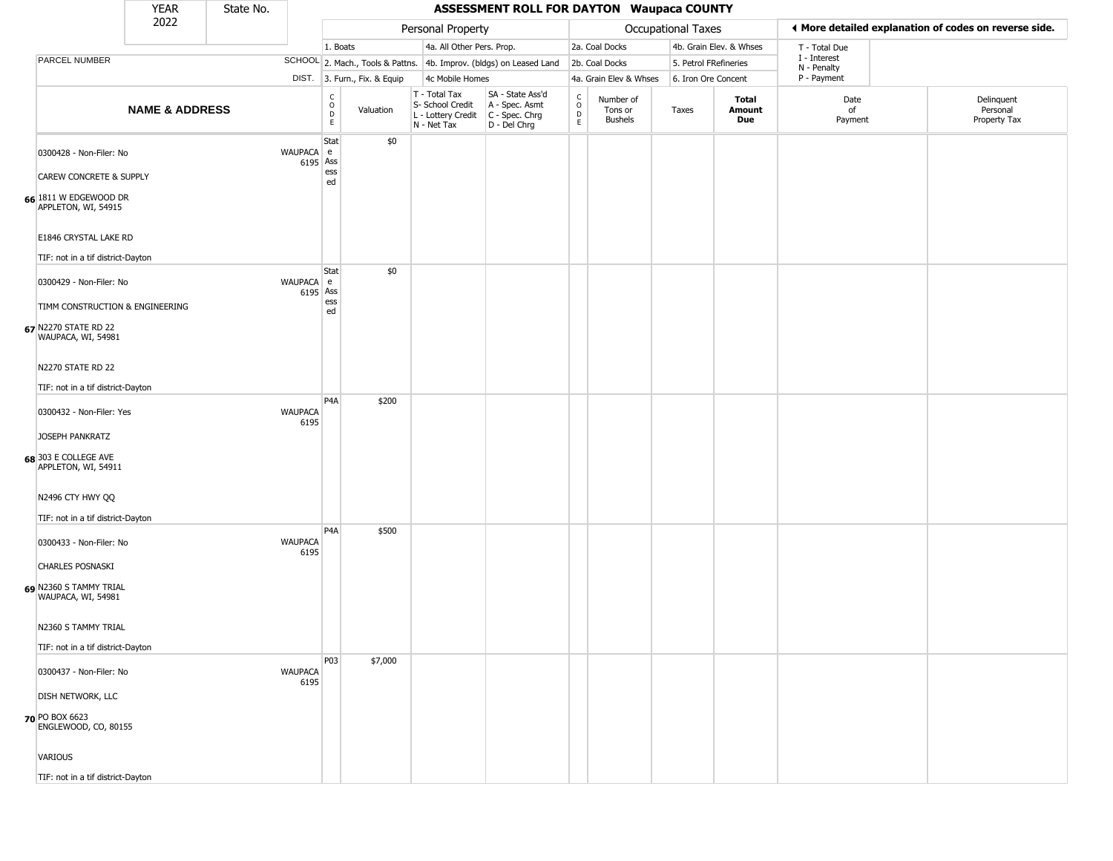|                                                                               | <b>YEAR</b>               | State No. |                        |                                                | <b>ASSESSMENT ROLL FOR DAYTON Waupaca COUNTY</b> |                                                                                         |                                                                     |                                                          |                                        |                    |                         |                             |                                                       |
|-------------------------------------------------------------------------------|---------------------------|-----------|------------------------|------------------------------------------------|--------------------------------------------------|-----------------------------------------------------------------------------------------|---------------------------------------------------------------------|----------------------------------------------------------|----------------------------------------|--------------------|-------------------------|-----------------------------|-------------------------------------------------------|
|                                                                               | 2022                      |           |                        |                                                |                                                  | Personal Property                                                                       |                                                                     |                                                          |                                        | Occupational Taxes |                         |                             | ◀ More detailed explanation of codes on reverse side. |
|                                                                               |                           |           |                        | 1. Boats                                       |                                                  | 4a. All Other Pers. Prop.                                                               |                                                                     |                                                          | 2a. Coal Docks                         |                    | 4b. Grain Elev. & Whses | T - Total Due               |                                                       |
| PARCEL NUMBER                                                                 |                           |           |                        |                                                |                                                  |                                                                                         | SCHOOL 2. Mach., Tools & Pattns. 4b. Improv. (bldgs) on Leased Land |                                                          | 2b. Coal Docks                         |                    | 5. Petrol FRefineries   | I - Interest<br>N - Penalty |                                                       |
|                                                                               |                           |           |                        |                                                | DIST. 3. Furn., Fix. & Equip                     | 4c Mobile Homes                                                                         |                                                                     |                                                          | 4a. Grain Elev & Whses                 |                    | 6. Iron Ore Concent     | P - Payment                 |                                                       |
|                                                                               | <b>NAME &amp; ADDRESS</b> |           |                        | $\begin{matrix} C \\ O \\ D \end{matrix}$<br>E | Valuation                                        | T - Total Tax<br>S- School Credit<br>L - Lottery Credit   C - Spec. Chrg<br>N - Net Tax | SA - State Ass'd<br>A - Spec. Asmt<br>D - Del Chrg                  | $\mathsf{C}$<br>$\mathsf O$<br>$\mathsf{D}_{\mathsf{E}}$ | Number of<br>Tons or<br><b>Bushels</b> | Taxes              | Total<br>Amount<br>Due  | Date<br>of<br>Payment       | Delinquent<br>Personal<br>Property Tax                |
| 0300428 - Non-Filer: No<br><b>CAREW CONCRETE &amp; SUPPLY</b>                 |                           |           | WAUPACA e              | Stat<br>6195 Ass<br>ess<br>ed                  | \$0                                              |                                                                                         |                                                                     |                                                          |                                        |                    |                         |                             |                                                       |
| 66 1811 W EDGEWOOD DR<br>APPLETON, WI, 54915                                  |                           |           |                        |                                                |                                                  |                                                                                         |                                                                     |                                                          |                                        |                    |                         |                             |                                                       |
| E1846 CRYSTAL LAKE RD<br>TIF: not in a tif district-Dayton                    |                           |           |                        |                                                |                                                  |                                                                                         |                                                                     |                                                          |                                        |                    |                         |                             |                                                       |
| 0300429 - Non-Filer: No                                                       |                           |           | WAUPACA e              | Stat<br>6195 Ass                               | \$0                                              |                                                                                         |                                                                     |                                                          |                                        |                    |                         |                             |                                                       |
| TIMM CONSTRUCTION & ENGINEERING<br>67 N2270 STATE RD 22<br>WAUPACA, WI, 54981 |                           |           |                        | ess<br>ed                                      |                                                  |                                                                                         |                                                                     |                                                          |                                        |                    |                         |                             |                                                       |
| N2270 STATE RD 22                                                             |                           |           |                        |                                                |                                                  |                                                                                         |                                                                     |                                                          |                                        |                    |                         |                             |                                                       |
| TIF: not in a tif district-Dayton                                             |                           |           |                        |                                                |                                                  |                                                                                         |                                                                     |                                                          |                                        |                    |                         |                             |                                                       |
| 0300432 - Non-Filer: Yes                                                      |                           |           | <b>WAUPACA</b><br>6195 | P4A                                            | \$200                                            |                                                                                         |                                                                     |                                                          |                                        |                    |                         |                             |                                                       |
| <b>JOSEPH PANKRATZ</b><br>68 303 E COLLEGE AVE<br>APPLETON, WI, 54911         |                           |           |                        |                                                |                                                  |                                                                                         |                                                                     |                                                          |                                        |                    |                         |                             |                                                       |
| N2496 CTY HWY QQ                                                              |                           |           |                        |                                                |                                                  |                                                                                         |                                                                     |                                                          |                                        |                    |                         |                             |                                                       |
| TIF: not in a tif district-Dayton                                             |                           |           |                        | P <sub>4</sub> A                               |                                                  |                                                                                         |                                                                     |                                                          |                                        |                    |                         |                             |                                                       |
| 0300433 - Non-Filer: No                                                       |                           |           | <b>WAUPACA</b><br>6195 |                                                | \$500                                            |                                                                                         |                                                                     |                                                          |                                        |                    |                         |                             |                                                       |
| <b>CHARLES POSNASKI</b><br>69 N2360 S TAMMY TRIAL                             |                           |           |                        |                                                |                                                  |                                                                                         |                                                                     |                                                          |                                        |                    |                         |                             |                                                       |
| WAUPACA, WI, 54981<br>N2360 S TAMMY TRIAL                                     |                           |           |                        |                                                |                                                  |                                                                                         |                                                                     |                                                          |                                        |                    |                         |                             |                                                       |
|                                                                               |                           |           |                        |                                                |                                                  |                                                                                         |                                                                     |                                                          |                                        |                    |                         |                             |                                                       |
| TIF: not in a tif district-Dayton                                             |                           |           |                        | P03                                            | \$7,000                                          |                                                                                         |                                                                     |                                                          |                                        |                    |                         |                             |                                                       |
| 0300437 - Non-Filer: No                                                       |                           |           | <b>WAUPACA</b><br>6195 |                                                |                                                  |                                                                                         |                                                                     |                                                          |                                        |                    |                         |                             |                                                       |
| DISH NETWORK, LLC                                                             |                           |           |                        |                                                |                                                  |                                                                                         |                                                                     |                                                          |                                        |                    |                         |                             |                                                       |
| 70 PO BOX 6623<br>ENGLEWOOD, CO, 80155                                        |                           |           |                        |                                                |                                                  |                                                                                         |                                                                     |                                                          |                                        |                    |                         |                             |                                                       |
| <b>VARIOUS</b>                                                                |                           |           |                        |                                                |                                                  |                                                                                         |                                                                     |                                                          |                                        |                    |                         |                             |                                                       |
| TIF: not in a tif district-Dayton                                             |                           |           |                        |                                                |                                                  |                                                                                         |                                                                     |                                                          |                                        |                    |                         |                             |                                                       |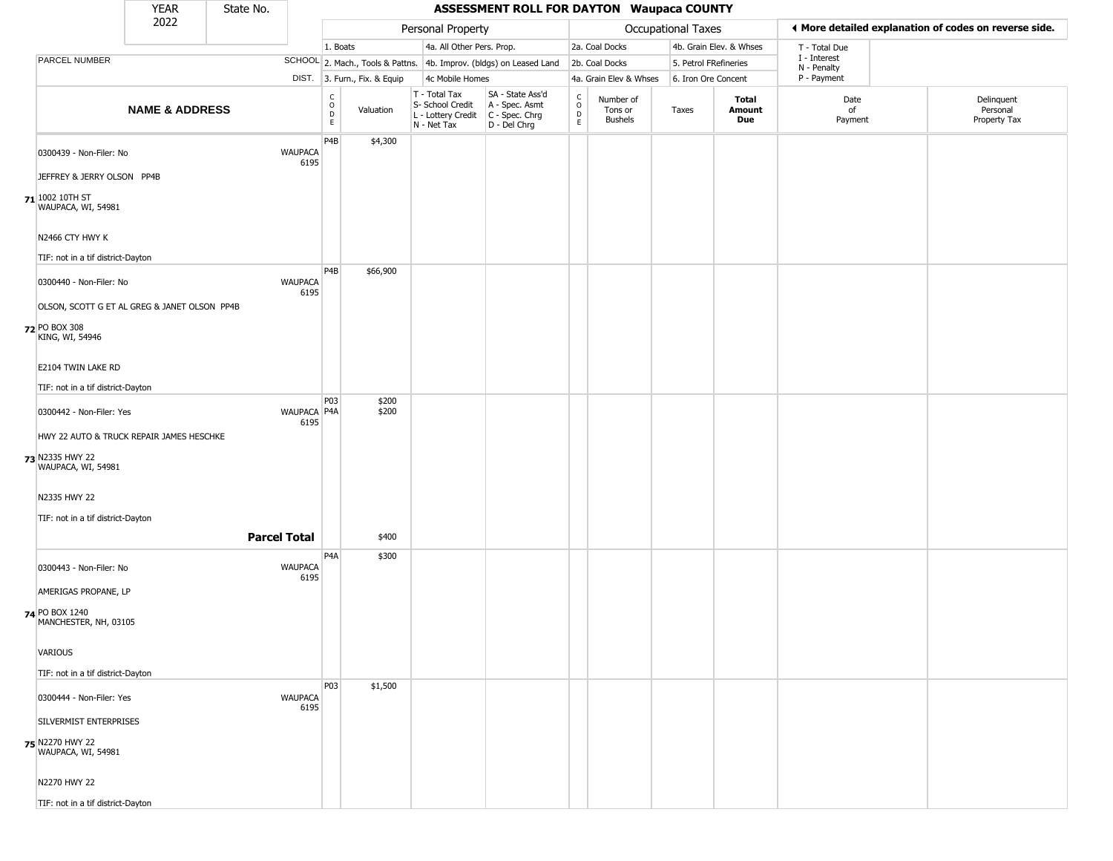|                                              | <b>YEAR</b>               | State No. |                        | <b>ASSESSMENT ROLL FOR DAYTON Waupaca COUNTY</b> |                              |                                                                                         |                                                                     |                                              |                                        |                    |                         |                             |                                                       |  |
|----------------------------------------------|---------------------------|-----------|------------------------|--------------------------------------------------|------------------------------|-----------------------------------------------------------------------------------------|---------------------------------------------------------------------|----------------------------------------------|----------------------------------------|--------------------|-------------------------|-----------------------------|-------------------------------------------------------|--|
|                                              | 2022                      |           |                        |                                                  |                              | Personal Property                                                                       |                                                                     |                                              |                                        | Occupational Taxes |                         |                             | ◀ More detailed explanation of codes on reverse side. |  |
|                                              |                           |           |                        | 1. Boats                                         |                              | 4a. All Other Pers. Prop.                                                               |                                                                     |                                              | 2a. Coal Docks                         |                    | 4b. Grain Elev. & Whses | T - Total Due               |                                                       |  |
| PARCEL NUMBER                                |                           |           |                        |                                                  |                              |                                                                                         | SCHOOL 2. Mach., Tools & Pattns. 4b. Improv. (bldgs) on Leased Land |                                              | 2b. Coal Docks                         |                    | 5. Petrol FRefineries   | I - Interest<br>N - Penalty |                                                       |  |
|                                              |                           |           |                        |                                                  | DIST. 3. Furn., Fix. & Equip | 4c Mobile Homes                                                                         |                                                                     |                                              | 4a. Grain Elev & Whses                 |                    | 6. Iron Ore Concent     | P - Payment                 |                                                       |  |
|                                              | <b>NAME &amp; ADDRESS</b> |           |                        | $\begin{array}{c} C \\ O \\ D \\ E \end{array}$  | Valuation                    | T - Total Tax<br>S- School Credit<br>L - Lottery Credit   C - Spec. Chrg<br>N - Net Tax | SA - State Ass'd<br>A - Spec. Asmt<br>$D - Del Chrg$                | $\begin{array}{c}\nC \\ O \\ D\n\end{array}$ | Number of<br>Tons or<br><b>Bushels</b> | Taxes              | Total<br>Amount<br>Due  | Date<br>of<br>Payment       | Delinquent<br>Personal<br>Property Tax                |  |
| 0300439 - Non-Filer: No                      |                           |           | <b>WAUPACA</b><br>6195 | P <sub>4</sub> B                                 | \$4,300                      |                                                                                         |                                                                     |                                              |                                        |                    |                         |                             |                                                       |  |
| JEFFREY & JERRY OLSON PP4B                   |                           |           |                        |                                                  |                              |                                                                                         |                                                                     |                                              |                                        |                    |                         |                             |                                                       |  |
| 71 1002 10TH ST<br>WAUPACA, WI, 54981        |                           |           |                        |                                                  |                              |                                                                                         |                                                                     |                                              |                                        |                    |                         |                             |                                                       |  |
| N2466 CTY HWY K                              |                           |           |                        |                                                  |                              |                                                                                         |                                                                     |                                              |                                        |                    |                         |                             |                                                       |  |
| TIF: not in a tif district-Dayton            |                           |           |                        |                                                  |                              |                                                                                         |                                                                     |                                              |                                        |                    |                         |                             |                                                       |  |
| 0300440 - Non-Filer: No                      |                           |           | <b>WAUPACA</b><br>6195 | P <sub>4</sub> B                                 | \$66,900                     |                                                                                         |                                                                     |                                              |                                        |                    |                         |                             |                                                       |  |
| OLSON, SCOTT G ET AL GREG & JANET OLSON PP4B |                           |           |                        |                                                  |                              |                                                                                         |                                                                     |                                              |                                        |                    |                         |                             |                                                       |  |
| 72 PO BOX 308<br>KING, WI, 54946             |                           |           |                        |                                                  |                              |                                                                                         |                                                                     |                                              |                                        |                    |                         |                             |                                                       |  |
| E2104 TWIN LAKE RD                           |                           |           |                        |                                                  |                              |                                                                                         |                                                                     |                                              |                                        |                    |                         |                             |                                                       |  |
| TIF: not in a tif district-Dayton            |                           |           |                        | P03                                              | \$200                        |                                                                                         |                                                                     |                                              |                                        |                    |                         |                             |                                                       |  |
| 0300442 - Non-Filer: Yes                     |                           |           | WAUPACA P4A<br>6195    |                                                  | \$200                        |                                                                                         |                                                                     |                                              |                                        |                    |                         |                             |                                                       |  |
| HWY 22 AUTO & TRUCK REPAIR JAMES HESCHKE     |                           |           |                        |                                                  |                              |                                                                                         |                                                                     |                                              |                                        |                    |                         |                             |                                                       |  |
| 73 N2335 HWY 22<br>WAUPACA, WI, 54981        |                           |           |                        |                                                  |                              |                                                                                         |                                                                     |                                              |                                        |                    |                         |                             |                                                       |  |
| N2335 HWY 22                                 |                           |           |                        |                                                  |                              |                                                                                         |                                                                     |                                              |                                        |                    |                         |                             |                                                       |  |
| TIF: not in a tif district-Dayton            |                           |           |                        |                                                  |                              |                                                                                         |                                                                     |                                              |                                        |                    |                         |                             |                                                       |  |
|                                              |                           |           | <b>Parcel Total</b>    |                                                  | \$400                        |                                                                                         |                                                                     |                                              |                                        |                    |                         |                             |                                                       |  |
| 0300443 - Non-Filer: No                      |                           |           | <b>WAUPACA</b><br>6195 | P4A                                              | \$300                        |                                                                                         |                                                                     |                                              |                                        |                    |                         |                             |                                                       |  |
| AMERIGAS PROPANE, LP                         |                           |           |                        |                                                  |                              |                                                                                         |                                                                     |                                              |                                        |                    |                         |                             |                                                       |  |
| 74 PO BOX 1240<br>MANCHESTER, NH, 03105      |                           |           |                        |                                                  |                              |                                                                                         |                                                                     |                                              |                                        |                    |                         |                             |                                                       |  |
| <b>VARIOUS</b>                               |                           |           |                        |                                                  |                              |                                                                                         |                                                                     |                                              |                                        |                    |                         |                             |                                                       |  |
| TIF: not in a tif district-Dayton            |                           |           |                        |                                                  |                              |                                                                                         |                                                                     |                                              |                                        |                    |                         |                             |                                                       |  |
| 0300444 - Non-Filer: Yes                     |                           |           | <b>WAUPACA</b><br>6195 | P03                                              | \$1,500                      |                                                                                         |                                                                     |                                              |                                        |                    |                         |                             |                                                       |  |
| SILVERMIST ENTERPRISES                       |                           |           |                        |                                                  |                              |                                                                                         |                                                                     |                                              |                                        |                    |                         |                             |                                                       |  |
| 75 N2270 HWY 22<br>WAUPACA, WI, 54981        |                           |           |                        |                                                  |                              |                                                                                         |                                                                     |                                              |                                        |                    |                         |                             |                                                       |  |
| N2270 HWY 22                                 |                           |           |                        |                                                  |                              |                                                                                         |                                                                     |                                              |                                        |                    |                         |                             |                                                       |  |
| TIF: not in a tif district-Dayton            |                           |           |                        |                                                  |                              |                                                                                         |                                                                     |                                              |                                        |                    |                         |                             |                                                       |  |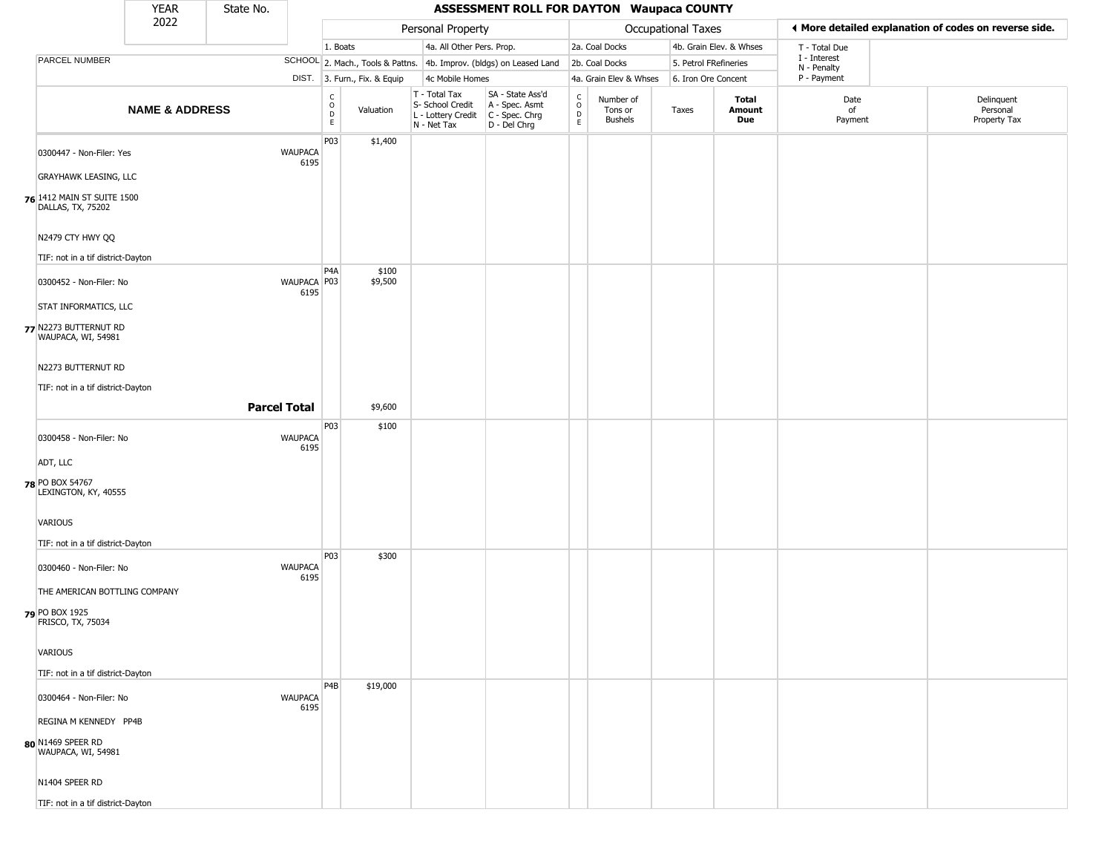|                                                 | <b>YEAR</b>               | State No. |                        |                                                 | <b>ASSESSMENT ROLL FOR DAYTON Waupaca COUNTY</b> |                                                  |                                                                                           |                                             |                                        |                           |                         |                             |                                                       |
|-------------------------------------------------|---------------------------|-----------|------------------------|-------------------------------------------------|--------------------------------------------------|--------------------------------------------------|-------------------------------------------------------------------------------------------|---------------------------------------------|----------------------------------------|---------------------------|-------------------------|-----------------------------|-------------------------------------------------------|
|                                                 | 2022                      |           |                        |                                                 |                                                  | Personal Property                                |                                                                                           |                                             |                                        | <b>Occupational Taxes</b> |                         |                             | ♦ More detailed explanation of codes on reverse side. |
|                                                 |                           |           |                        | 1. Boats                                        |                                                  | 4a. All Other Pers. Prop.                        |                                                                                           |                                             | 2a. Coal Docks                         |                           | 4b. Grain Elev. & Whses | T - Total Due               |                                                       |
| PARCEL NUMBER                                   |                           |           |                        |                                                 | SCHOOL 2. Mach., Tools & Pattns.                 |                                                  | 4b. Improv. (bldgs) on Leased Land                                                        |                                             | 2b. Coal Docks                         | 5. Petrol FRefineries     |                         | I - Interest<br>N - Penalty |                                                       |
|                                                 |                           |           |                        |                                                 | DIST. 3. Furn., Fix. & Equip                     | 4c Mobile Homes                                  |                                                                                           |                                             | 4a. Grain Elev & Whses                 | 6. Iron Ore Concent       |                         | P - Payment                 |                                                       |
|                                                 | <b>NAME &amp; ADDRESS</b> |           |                        | $\begin{array}{c} C \\ O \\ D \\ E \end{array}$ | Valuation                                        | T - Total Tax<br>S- School Credit<br>N - Net Tax | SA - State Ass'd<br>A - Spec. Asmt<br>L - Lottery Credit   C - Spec. Chrg<br>D - Del Chrg | $\int_{0}^{c}$<br>$\mathsf{D}_{\mathsf{E}}$ | Number of<br>Tons or<br><b>Bushels</b> | Taxes                     | Total<br>Amount<br>Due  | Date<br>of<br>Payment       | Delinquent<br>Personal<br>Property Tax                |
| 0300447 - Non-Filer: Yes                        |                           |           | <b>WAUPACA</b><br>6195 | P03                                             | \$1,400                                          |                                                  |                                                                                           |                                             |                                        |                           |                         |                             |                                                       |
| <b>GRAYHAWK LEASING, LLC</b>                    |                           |           |                        |                                                 |                                                  |                                                  |                                                                                           |                                             |                                        |                           |                         |                             |                                                       |
| 76 1412 MAIN ST SUITE 1500<br>DALLAS, TX, 75202 |                           |           |                        |                                                 |                                                  |                                                  |                                                                                           |                                             |                                        |                           |                         |                             |                                                       |
| N2479 CTY HWY QQ                                |                           |           |                        |                                                 |                                                  |                                                  |                                                                                           |                                             |                                        |                           |                         |                             |                                                       |
| TIF: not in a tif district-Dayton               |                           |           |                        |                                                 |                                                  |                                                  |                                                                                           |                                             |                                        |                           |                         |                             |                                                       |
| 0300452 - Non-Filer: No                         |                           |           | WAUPACA P03<br>6195    | P <sub>4</sub> A                                | \$100<br>\$9,500                                 |                                                  |                                                                                           |                                             |                                        |                           |                         |                             |                                                       |
| STAT INFORMATICS, LLC                           |                           |           |                        |                                                 |                                                  |                                                  |                                                                                           |                                             |                                        |                           |                         |                             |                                                       |
| 77 N2273 BUTTERNUT RD<br>WAUPACA, WI, 54981     |                           |           |                        |                                                 |                                                  |                                                  |                                                                                           |                                             |                                        |                           |                         |                             |                                                       |
| N2273 BUTTERNUT RD                              |                           |           |                        |                                                 |                                                  |                                                  |                                                                                           |                                             |                                        |                           |                         |                             |                                                       |
| TIF: not in a tif district-Dayton               |                           |           |                        |                                                 |                                                  |                                                  |                                                                                           |                                             |                                        |                           |                         |                             |                                                       |
|                                                 |                           |           | <b>Parcel Total</b>    |                                                 | \$9,600                                          |                                                  |                                                                                           |                                             |                                        |                           |                         |                             |                                                       |
|                                                 |                           |           |                        | P03                                             | \$100                                            |                                                  |                                                                                           |                                             |                                        |                           |                         |                             |                                                       |
| 0300458 - Non-Filer: No                         |                           |           | <b>WAUPACA</b><br>6195 |                                                 |                                                  |                                                  |                                                                                           |                                             |                                        |                           |                         |                             |                                                       |
| ADT, LLC                                        |                           |           |                        |                                                 |                                                  |                                                  |                                                                                           |                                             |                                        |                           |                         |                             |                                                       |
| 78 PO BOX 54767<br>LEXINGTON, KY, 40555         |                           |           |                        |                                                 |                                                  |                                                  |                                                                                           |                                             |                                        |                           |                         |                             |                                                       |
| VARIOUS                                         |                           |           |                        |                                                 |                                                  |                                                  |                                                                                           |                                             |                                        |                           |                         |                             |                                                       |
| TIF: not in a tif district-Dayton               |                           |           |                        | P03                                             | \$300                                            |                                                  |                                                                                           |                                             |                                        |                           |                         |                             |                                                       |
| 0300460 - Non-Filer: No                         |                           |           | <b>WAUPACA</b><br>6195 |                                                 |                                                  |                                                  |                                                                                           |                                             |                                        |                           |                         |                             |                                                       |
| THE AMERICAN BOTTLING COMPANY                   |                           |           |                        |                                                 |                                                  |                                                  |                                                                                           |                                             |                                        |                           |                         |                             |                                                       |
| 79 PO BOX 1925<br>FRISCO, TX, 75034             |                           |           |                        |                                                 |                                                  |                                                  |                                                                                           |                                             |                                        |                           |                         |                             |                                                       |
| VARIOUS                                         |                           |           |                        |                                                 |                                                  |                                                  |                                                                                           |                                             |                                        |                           |                         |                             |                                                       |
| TIF: not in a tif district-Dayton               |                           |           |                        |                                                 |                                                  |                                                  |                                                                                           |                                             |                                        |                           |                         |                             |                                                       |
| 0300464 - Non-Filer: No                         |                           |           | <b>WAUPACA</b><br>6195 | P <sub>4</sub> B                                | \$19,000                                         |                                                  |                                                                                           |                                             |                                        |                           |                         |                             |                                                       |
| REGINA M KENNEDY PP4B                           |                           |           |                        |                                                 |                                                  |                                                  |                                                                                           |                                             |                                        |                           |                         |                             |                                                       |
| 80 N1469 SPEER RD<br>WAUPACA, WI, 54981         |                           |           |                        |                                                 |                                                  |                                                  |                                                                                           |                                             |                                        |                           |                         |                             |                                                       |
| N1404 SPEER RD                                  |                           |           |                        |                                                 |                                                  |                                                  |                                                                                           |                                             |                                        |                           |                         |                             |                                                       |
| TIF: not in a tif district-Dayton               |                           |           |                        |                                                 |                                                  |                                                  |                                                                                           |                                             |                                        |                           |                         |                             |                                                       |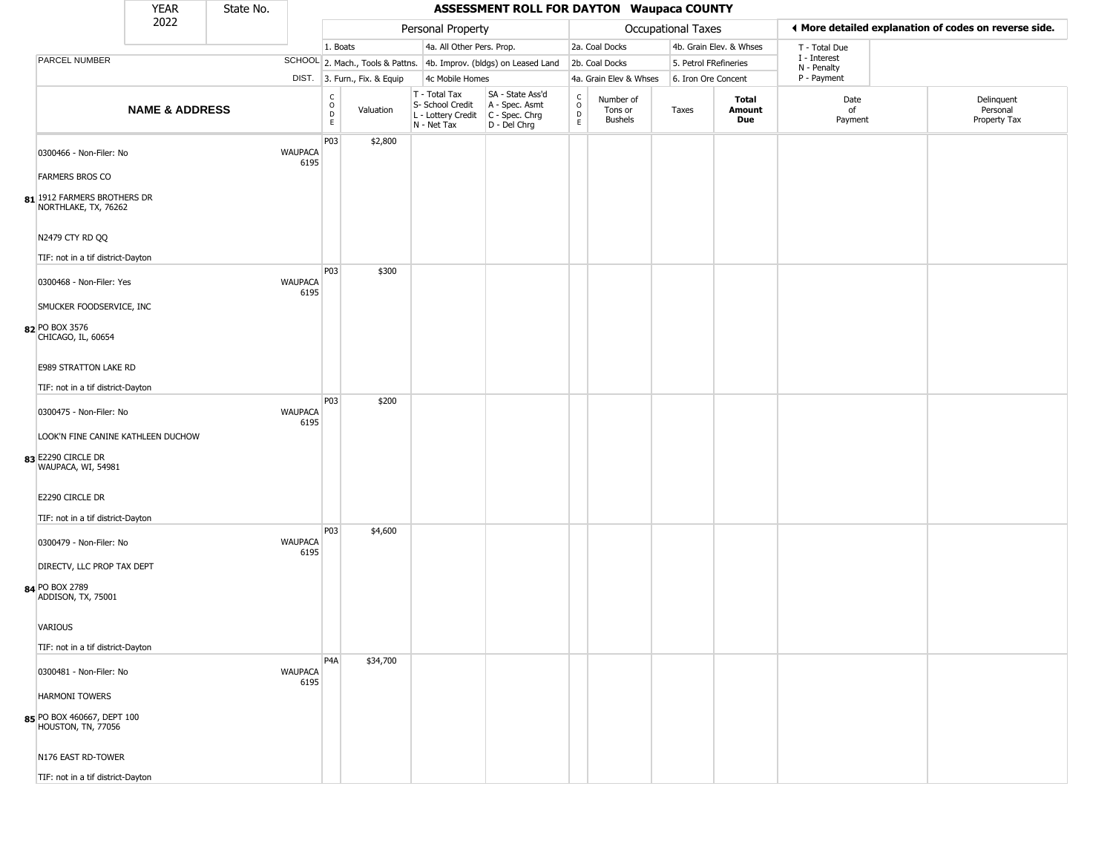|                                                                                | <b>YEAR</b>               | State No. |                        | <b>ASSESSMENT ROLL FOR DAYTON Waupaca COUNTY</b>         |                              |                                                                        |                                                                      |                                        |                                        |                       |                         |                             |  |                                                       |
|--------------------------------------------------------------------------------|---------------------------|-----------|------------------------|----------------------------------------------------------|------------------------------|------------------------------------------------------------------------|----------------------------------------------------------------------|----------------------------------------|----------------------------------------|-----------------------|-------------------------|-----------------------------|--|-------------------------------------------------------|
|                                                                                | 2022                      |           |                        |                                                          |                              | Personal Property                                                      |                                                                      |                                        |                                        | Occupational Taxes    |                         |                             |  | ♦ More detailed explanation of codes on reverse side. |
|                                                                                |                           |           |                        | 1. Boats                                                 |                              | 4a. All Other Pers. Prop.                                              |                                                                      |                                        | 2a. Coal Docks                         |                       | 4b. Grain Elev. & Whses | T - Total Due               |  |                                                       |
| PARCEL NUMBER                                                                  |                           |           |                        |                                                          |                              |                                                                        | SCHOOL 2. Mach., Tools & Pattns. 4b. Improv. (bldgs) on Leased Land  |                                        | 2b. Coal Docks                         | 5. Petrol FRefineries |                         | I - Interest<br>N - Penalty |  |                                                       |
|                                                                                |                           |           |                        |                                                          | DIST. 3. Furn., Fix. & Equip | 4c Mobile Homes                                                        |                                                                      |                                        | 4a. Grain Elev & Whses                 | 6. Iron Ore Concent   |                         | P - Payment                 |  |                                                       |
|                                                                                | <b>NAME &amp; ADDRESS</b> |           |                        | $\begin{matrix} 0 \\ 0 \\ D \end{matrix}$<br>$\mathsf E$ | Valuation                    | T - Total Tax<br>S- School Credit<br>L - Lottery Credit<br>N - Net Tax | SA - State Ass'd<br>A - Spec. Asmt<br>C - Spec. Chrg<br>D - Del Chrg | $_{\rm o}^{\rm c}$<br>D<br>$\mathsf E$ | Number of<br>Tons or<br><b>Bushels</b> | Taxes                 | Total<br>Amount<br>Due  | Date<br>of<br>Payment       |  | Delinquent<br>Personal<br>Property Tax                |
| 0300466 - Non-Filer: No                                                        |                           |           | <b>WAUPACA</b><br>6195 | P03                                                      | \$2,800                      |                                                                        |                                                                      |                                        |                                        |                       |                         |                             |  |                                                       |
| <b>FARMERS BROS CO</b>                                                         |                           |           |                        |                                                          |                              |                                                                        |                                                                      |                                        |                                        |                       |                         |                             |  |                                                       |
| 81 1912 FARMERS BROTHERS DR<br>NORTHLAKE, TX, 76262                            |                           |           |                        |                                                          |                              |                                                                        |                                                                      |                                        |                                        |                       |                         |                             |  |                                                       |
| N2479 CTY RD QQ<br>TIF: not in a tif district-Dayton                           |                           |           |                        |                                                          |                              |                                                                        |                                                                      |                                        |                                        |                       |                         |                             |  |                                                       |
| 0300468 - Non-Filer: Yes                                                       |                           |           | <b>WAUPACA</b>         | P03                                                      | \$300                        |                                                                        |                                                                      |                                        |                                        |                       |                         |                             |  |                                                       |
| SMUCKER FOODSERVICE, INC                                                       |                           |           | 6195                   |                                                          |                              |                                                                        |                                                                      |                                        |                                        |                       |                         |                             |  |                                                       |
| 82 PO BOX 3576<br>CHICAGO, IL, 60654                                           |                           |           |                        |                                                          |                              |                                                                        |                                                                      |                                        |                                        |                       |                         |                             |  |                                                       |
| E989 STRATTON LAKE RD                                                          |                           |           |                        |                                                          |                              |                                                                        |                                                                      |                                        |                                        |                       |                         |                             |  |                                                       |
| TIF: not in a tif district-Dayton                                              |                           |           |                        |                                                          |                              |                                                                        |                                                                      |                                        |                                        |                       |                         |                             |  |                                                       |
| 0300475 - Non-Filer: No                                                        |                           |           | <b>WAUPACA</b><br>6195 | P03                                                      | \$200                        |                                                                        |                                                                      |                                        |                                        |                       |                         |                             |  |                                                       |
| LOOK'N FINE CANINE KATHLEEN DUCHOW<br>83 E2290 CIRCLE DR<br>WAUPACA, WI, 54981 |                           |           |                        |                                                          |                              |                                                                        |                                                                      |                                        |                                        |                       |                         |                             |  |                                                       |
| E2290 CIRCLE DR                                                                |                           |           |                        |                                                          |                              |                                                                        |                                                                      |                                        |                                        |                       |                         |                             |  |                                                       |
| TIF: not in a tif district-Dayton                                              |                           |           |                        |                                                          |                              |                                                                        |                                                                      |                                        |                                        |                       |                         |                             |  |                                                       |
| 0300479 - Non-Filer: No                                                        |                           |           | <b>WAUPACA</b><br>6195 | P03                                                      | \$4,600                      |                                                                        |                                                                      |                                        |                                        |                       |                         |                             |  |                                                       |
| DIRECTV, LLC PROP TAX DEPT<br>84 PO BOX 2789                                   |                           |           |                        |                                                          |                              |                                                                        |                                                                      |                                        |                                        |                       |                         |                             |  |                                                       |
| ADDISON, TX, 75001                                                             |                           |           |                        |                                                          |                              |                                                                        |                                                                      |                                        |                                        |                       |                         |                             |  |                                                       |
| VARIOUS                                                                        |                           |           |                        |                                                          |                              |                                                                        |                                                                      |                                        |                                        |                       |                         |                             |  |                                                       |
| TIF: not in a tif district-Dayton                                              |                           |           |                        | P4A                                                      | \$34,700                     |                                                                        |                                                                      |                                        |                                        |                       |                         |                             |  |                                                       |
| 0300481 - Non-Filer: No                                                        |                           |           | <b>WAUPACA</b><br>6195 |                                                          |                              |                                                                        |                                                                      |                                        |                                        |                       |                         |                             |  |                                                       |
| <b>HARMONI TOWERS</b>                                                          |                           |           |                        |                                                          |                              |                                                                        |                                                                      |                                        |                                        |                       |                         |                             |  |                                                       |
| 85 PO BOX 460667, DEPT 100<br>HOUSTON, TN, 77056                               |                           |           |                        |                                                          |                              |                                                                        |                                                                      |                                        |                                        |                       |                         |                             |  |                                                       |
| N176 EAST RD-TOWER                                                             |                           |           |                        |                                                          |                              |                                                                        |                                                                      |                                        |                                        |                       |                         |                             |  |                                                       |
| TIF: not in a tif district-Dayton                                              |                           |           |                        |                                                          |                              |                                                                        |                                                                      |                                        |                                        |                       |                         |                             |  |                                                       |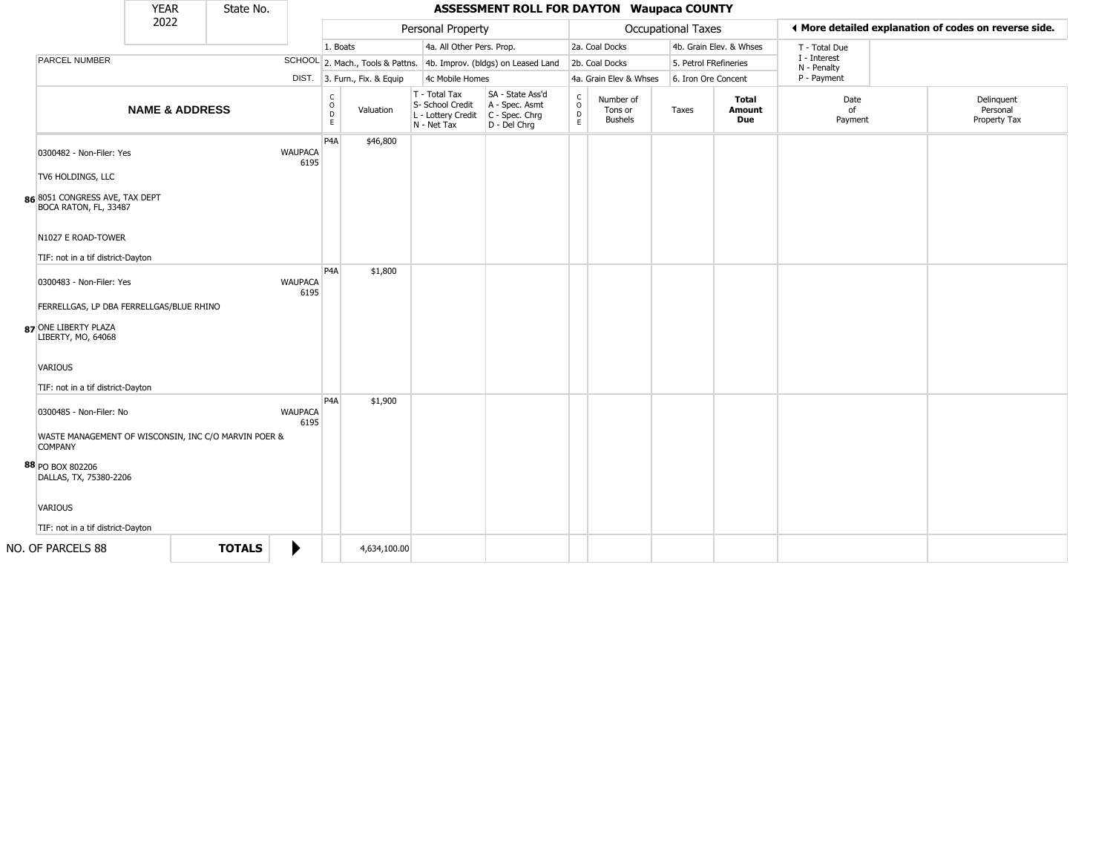|                                                                                        | <b>YEAR</b>               | State No.     |                        |                                    |                              |                                                                        | <b>ASSESSMENT ROLL FOR DAYTON Waupaca COUNTY</b>                     |                         |                                        |                           |                               |                             |                                                       |
|----------------------------------------------------------------------------------------|---------------------------|---------------|------------------------|------------------------------------|------------------------------|------------------------------------------------------------------------|----------------------------------------------------------------------|-------------------------|----------------------------------------|---------------------------|-------------------------------|-----------------------------|-------------------------------------------------------|
|                                                                                        | 2022                      |               |                        |                                    |                              | Personal Property                                                      |                                                                      |                         |                                        | <b>Occupational Taxes</b> |                               |                             | ♦ More detailed explanation of codes on reverse side. |
|                                                                                        |                           |               |                        | 1. Boats                           |                              | 4a. All Other Pers. Prop.                                              |                                                                      |                         | 2a. Coal Docks                         |                           | 4b. Grain Elev. & Whses       | T - Total Due               |                                                       |
| PARCEL NUMBER                                                                          |                           |               |                        |                                    |                              |                                                                        | SCHOOL 2. Mach., Tools & Pattns. 4b. Improv. (bldgs) on Leased Land  |                         | 2b. Coal Docks                         | 5. Petrol FRefineries     |                               | I - Interest<br>N - Penalty |                                                       |
|                                                                                        |                           |               |                        |                                    | DIST. 3. Furn., Fix. & Equip | 4c Mobile Homes                                                        |                                                                      |                         | 4a. Grain Elev & Whses                 | 6. Iron Ore Concent       |                               | P - Payment                 |                                                       |
|                                                                                        | <b>NAME &amp; ADDRESS</b> |               |                        | C<br>$\ddot{\mathbf{O}}$<br>D<br>E | Valuation                    | T - Total Tax<br>S- School Credit<br>L - Lottery Credit<br>N - Net Tax | SA - State Ass'd<br>A - Spec. Asmt<br>C - Spec. Chrg<br>D - Del Chrg | $\frac{c}{0}$<br>D<br>E | Number of<br>Tons or<br><b>Bushels</b> | Taxes                     | <b>Total</b><br>Amount<br>Due | Date<br>of<br>Payment       | Delinquent<br>Personal<br>Property Tax                |
| 0300482 - Non-Filer: Yes<br>TV6 HOLDINGS, LLC                                          |                           |               | <b>WAUPACA</b><br>6195 | P <sub>4</sub> A                   | \$46,800                     |                                                                        |                                                                      |                         |                                        |                           |                               |                             |                                                       |
| 86 8051 CONGRESS AVE, TAX DEPT<br>BOCA RATON, FL, 33487                                |                           |               |                        |                                    |                              |                                                                        |                                                                      |                         |                                        |                           |                               |                             |                                                       |
| N1027 E ROAD-TOWER<br>TIF: not in a tif district-Dayton                                |                           |               |                        |                                    |                              |                                                                        |                                                                      |                         |                                        |                           |                               |                             |                                                       |
| 0300483 - Non-Filer: Yes                                                               |                           |               | <b>WAUPACA</b><br>6195 | P <sub>4</sub> A                   | \$1,800                      |                                                                        |                                                                      |                         |                                        |                           |                               |                             |                                                       |
| FERRELLGAS, LP DBA FERRELLGAS/BLUE RHINO<br>87 ONE LIBERTY PLAZA<br>LIBERTY, MO, 64068 |                           |               |                        |                                    |                              |                                                                        |                                                                      |                         |                                        |                           |                               |                             |                                                       |
| <b>VARIOUS</b><br>TIF: not in a tif district-Dayton                                    |                           |               |                        |                                    |                              |                                                                        |                                                                      |                         |                                        |                           |                               |                             |                                                       |
| 0300485 - Non-Filer: No<br>WASTE MANAGEMENT OF WISCONSIN, INC C/O MARVIN POER &        |                           |               | <b>WAUPACA</b><br>6195 | P <sub>4</sub> A                   | \$1,900                      |                                                                        |                                                                      |                         |                                        |                           |                               |                             |                                                       |
| <b>COMPANY</b><br>88 PO BOX 802206<br>DALLAS, TX, 75380-2206                           |                           |               |                        |                                    |                              |                                                                        |                                                                      |                         |                                        |                           |                               |                             |                                                       |
| <b>VARIOUS</b>                                                                         |                           |               |                        |                                    |                              |                                                                        |                                                                      |                         |                                        |                           |                               |                             |                                                       |
| TIF: not in a tif district-Dayton                                                      |                           |               |                        |                                    |                              |                                                                        |                                                                      |                         |                                        |                           |                               |                             |                                                       |
| NO. OF PARCELS 88                                                                      |                           | <b>TOTALS</b> | ▶                      |                                    | 4,634,100.00                 |                                                                        |                                                                      |                         |                                        |                           |                               |                             |                                                       |